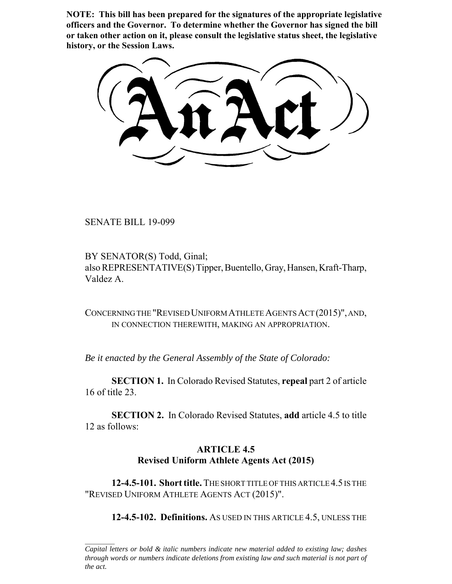**NOTE: This bill has been prepared for the signatures of the appropriate legislative officers and the Governor. To determine whether the Governor has signed the bill or taken other action on it, please consult the legislative status sheet, the legislative history, or the Session Laws.**

SENATE BILL 19-099

BY SENATOR(S) Todd, Ginal; also REPRESENTATIVE(S) Tipper, Buentello, Gray, Hansen, Kraft-Tharp, Valdez A.

CONCERNING THE "REVISED UNIFORM ATHLETE AGENTS ACT (2015)", AND, IN CONNECTION THEREWITH, MAKING AN APPROPRIATION.

*Be it enacted by the General Assembly of the State of Colorado:*

**SECTION 1.** In Colorado Revised Statutes, **repeal** part 2 of article 16 of title 23.

**SECTION 2.** In Colorado Revised Statutes, **add** article 4.5 to title 12 as follows:

# **ARTICLE 4.5 Revised Uniform Athlete Agents Act (2015)**

**12-4.5-101. Short title.** THE SHORT TITLE OF THIS ARTICLE 4.5 IS THE "REVISED UNIFORM ATHLETE AGENTS ACT (2015)".

**12-4.5-102. Definitions.** AS USED IN THIS ARTICLE 4.5, UNLESS THE

*Capital letters or bold & italic numbers indicate new material added to existing law; dashes through words or numbers indicate deletions from existing law and such material is not part of the act.*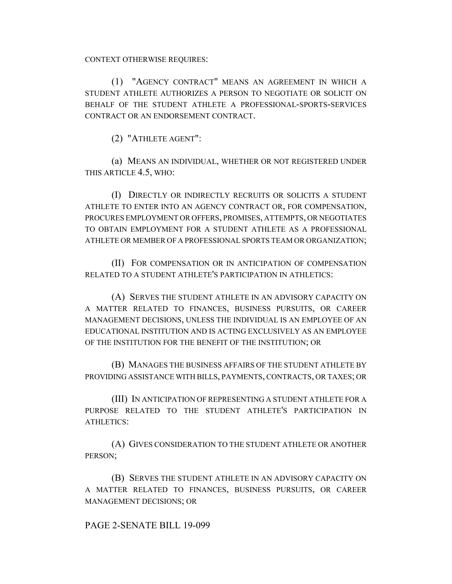CONTEXT OTHERWISE REQUIRES:

(1) "AGENCY CONTRACT" MEANS AN AGREEMENT IN WHICH A STUDENT ATHLETE AUTHORIZES A PERSON TO NEGOTIATE OR SOLICIT ON BEHALF OF THE STUDENT ATHLETE A PROFESSIONAL-SPORTS-SERVICES CONTRACT OR AN ENDORSEMENT CONTRACT.

(2) "ATHLETE AGENT":

(a) MEANS AN INDIVIDUAL, WHETHER OR NOT REGISTERED UNDER THIS ARTICLE 4.5, WHO:

(I) DIRECTLY OR INDIRECTLY RECRUITS OR SOLICITS A STUDENT ATHLETE TO ENTER INTO AN AGENCY CONTRACT OR, FOR COMPENSATION, PROCURES EMPLOYMENT OR OFFERS, PROMISES, ATTEMPTS, OR NEGOTIATES TO OBTAIN EMPLOYMENT FOR A STUDENT ATHLETE AS A PROFESSIONAL ATHLETE OR MEMBER OF A PROFESSIONAL SPORTS TEAM OR ORGANIZATION;

(II) FOR COMPENSATION OR IN ANTICIPATION OF COMPENSATION RELATED TO A STUDENT ATHLETE'S PARTICIPATION IN ATHLETICS:

(A) SERVES THE STUDENT ATHLETE IN AN ADVISORY CAPACITY ON A MATTER RELATED TO FINANCES, BUSINESS PURSUITS, OR CAREER MANAGEMENT DECISIONS, UNLESS THE INDIVIDUAL IS AN EMPLOYEE OF AN EDUCATIONAL INSTITUTION AND IS ACTING EXCLUSIVELY AS AN EMPLOYEE OF THE INSTITUTION FOR THE BENEFIT OF THE INSTITUTION; OR

(B) MANAGES THE BUSINESS AFFAIRS OF THE STUDENT ATHLETE BY PROVIDING ASSISTANCE WITH BILLS, PAYMENTS, CONTRACTS, OR TAXES; OR

(III) IN ANTICIPATION OF REPRESENTING A STUDENT ATHLETE FOR A PURPOSE RELATED TO THE STUDENT ATHLETE'S PARTICIPATION IN ATHLETICS:

(A) GIVES CONSIDERATION TO THE STUDENT ATHLETE OR ANOTHER PERSON;

(B) SERVES THE STUDENT ATHLETE IN AN ADVISORY CAPACITY ON A MATTER RELATED TO FINANCES, BUSINESS PURSUITS, OR CAREER MANAGEMENT DECISIONS; OR

## PAGE 2-SENATE BILL 19-099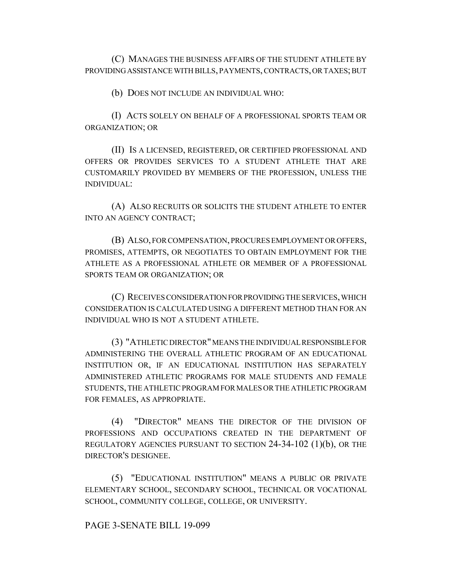(C) MANAGES THE BUSINESS AFFAIRS OF THE STUDENT ATHLETE BY PROVIDING ASSISTANCE WITH BILLS, PAYMENTS, CONTRACTS, OR TAXES; BUT

(b) DOES NOT INCLUDE AN INDIVIDUAL WHO:

(I) ACTS SOLELY ON BEHALF OF A PROFESSIONAL SPORTS TEAM OR ORGANIZATION; OR

(II) IS A LICENSED, REGISTERED, OR CERTIFIED PROFESSIONAL AND OFFERS OR PROVIDES SERVICES TO A STUDENT ATHLETE THAT ARE CUSTOMARILY PROVIDED BY MEMBERS OF THE PROFESSION, UNLESS THE INDIVIDUAL:

(A) ALSO RECRUITS OR SOLICITS THE STUDENT ATHLETE TO ENTER INTO AN AGENCY CONTRACT;

(B) ALSO, FOR COMPENSATION, PROCURES EMPLOYMENT OR OFFERS, PROMISES, ATTEMPTS, OR NEGOTIATES TO OBTAIN EMPLOYMENT FOR THE ATHLETE AS A PROFESSIONAL ATHLETE OR MEMBER OF A PROFESSIONAL SPORTS TEAM OR ORGANIZATION; OR

(C) RECEIVES CONSIDERATION FOR PROVIDING THE SERVICES, WHICH CONSIDERATION IS CALCULATED USING A DIFFERENT METHOD THAN FOR AN INDIVIDUAL WHO IS NOT A STUDENT ATHLETE.

(3) "ATHLETIC DIRECTOR" MEANS THE INDIVIDUAL RESPONSIBLE FOR ADMINISTERING THE OVERALL ATHLETIC PROGRAM OF AN EDUCATIONAL INSTITUTION OR, IF AN EDUCATIONAL INSTITUTION HAS SEPARATELY ADMINISTERED ATHLETIC PROGRAMS FOR MALE STUDENTS AND FEMALE STUDENTS, THE ATHLETIC PROGRAM FOR MALES OR THE ATHLETIC PROGRAM FOR FEMALES, AS APPROPRIATE.

(4) "DIRECTOR" MEANS THE DIRECTOR OF THE DIVISION OF PROFESSIONS AND OCCUPATIONS CREATED IN THE DEPARTMENT OF REGULATORY AGENCIES PURSUANT TO SECTION  $24-34-102$  (1)(b), OR THE DIRECTOR'S DESIGNEE.

(5) "EDUCATIONAL INSTITUTION" MEANS A PUBLIC OR PRIVATE ELEMENTARY SCHOOL, SECONDARY SCHOOL, TECHNICAL OR VOCATIONAL SCHOOL, COMMUNITY COLLEGE, COLLEGE, OR UNIVERSITY.

## PAGE 3-SENATE BILL 19-099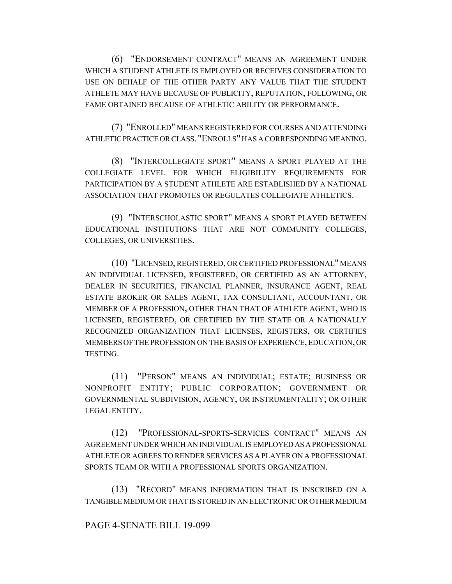(6) "ENDORSEMENT CONTRACT" MEANS AN AGREEMENT UNDER WHICH A STUDENT ATHLETE IS EMPLOYED OR RECEIVES CONSIDERATION TO USE ON BEHALF OF THE OTHER PARTY ANY VALUE THAT THE STUDENT ATHLETE MAY HAVE BECAUSE OF PUBLICITY, REPUTATION, FOLLOWING, OR FAME OBTAINED BECAUSE OF ATHLETIC ABILITY OR PERFORMANCE.

(7) "ENROLLED" MEANS REGISTERED FOR COURSES AND ATTENDING ATHLETIC PRACTICE OR CLASS. "ENROLLS" HAS A CORRESPONDING MEANING.

(8) "INTERCOLLEGIATE SPORT" MEANS A SPORT PLAYED AT THE COLLEGIATE LEVEL FOR WHICH ELIGIBILITY REQUIREMENTS FOR PARTICIPATION BY A STUDENT ATHLETE ARE ESTABLISHED BY A NATIONAL ASSOCIATION THAT PROMOTES OR REGULATES COLLEGIATE ATHLETICS.

(9) "INTERSCHOLASTIC SPORT" MEANS A SPORT PLAYED BETWEEN EDUCATIONAL INSTITUTIONS THAT ARE NOT COMMUNITY COLLEGES, COLLEGES, OR UNIVERSITIES.

(10) "LICENSED, REGISTERED, OR CERTIFIED PROFESSIONAL" MEANS AN INDIVIDUAL LICENSED, REGISTERED, OR CERTIFIED AS AN ATTORNEY, DEALER IN SECURITIES, FINANCIAL PLANNER, INSURANCE AGENT, REAL ESTATE BROKER OR SALES AGENT, TAX CONSULTANT, ACCOUNTANT, OR MEMBER OF A PROFESSION, OTHER THAN THAT OF ATHLETE AGENT, WHO IS LICENSED, REGISTERED, OR CERTIFIED BY THE STATE OR A NATIONALLY RECOGNIZED ORGANIZATION THAT LICENSES, REGISTERS, OR CERTIFIES MEMBERS OF THE PROFESSION ON THE BASIS OF EXPERIENCE, EDUCATION, OR TESTING.

(11) "PERSON" MEANS AN INDIVIDUAL; ESTATE; BUSINESS OR NONPROFIT ENTITY; PUBLIC CORPORATION; GOVERNMENT OR GOVERNMENTAL SUBDIVISION, AGENCY, OR INSTRUMENTALITY; OR OTHER LEGAL ENTITY.

(12) "PROFESSIONAL-SPORTS-SERVICES CONTRACT" MEANS AN AGREEMENT UNDER WHICH AN INDIVIDUAL IS EMPLOYED AS A PROFESSIONAL ATHLETE OR AGREES TO RENDER SERVICES AS A PLAYER ON A PROFESSIONAL SPORTS TEAM OR WITH A PROFESSIONAL SPORTS ORGANIZATION.

(13) "RECORD" MEANS INFORMATION THAT IS INSCRIBED ON A TANGIBLE MEDIUM OR THAT IS STORED IN AN ELECTRONIC OR OTHER MEDIUM

## PAGE 4-SENATE BILL 19-099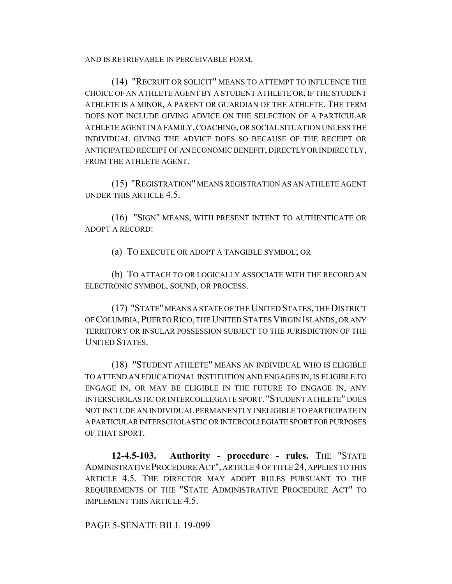AND IS RETRIEVABLE IN PERCEIVABLE FORM.

(14) "RECRUIT OR SOLICIT" MEANS TO ATTEMPT TO INFLUENCE THE CHOICE OF AN ATHLETE AGENT BY A STUDENT ATHLETE OR, IF THE STUDENT ATHLETE IS A MINOR, A PARENT OR GUARDIAN OF THE ATHLETE. THE TERM DOES NOT INCLUDE GIVING ADVICE ON THE SELECTION OF A PARTICULAR ATHLETE AGENT IN A FAMILY, COACHING, OR SOCIAL SITUATION UNLESS THE INDIVIDUAL GIVING THE ADVICE DOES SO BECAUSE OF THE RECEIPT OR ANTICIPATED RECEIPT OF AN ECONOMIC BENEFIT, DIRECTLY OR INDIRECTLY, FROM THE ATHLETE AGENT.

(15) "REGISTRATION" MEANS REGISTRATION AS AN ATHLETE AGENT UNDER THIS ARTICLE 4.5.

(16) "SIGN" MEANS, WITH PRESENT INTENT TO AUTHENTICATE OR ADOPT A RECORD:

(a) TO EXECUTE OR ADOPT A TANGIBLE SYMBOL; OR

(b) TO ATTACH TO OR LOGICALLY ASSOCIATE WITH THE RECORD AN ELECTRONIC SYMBOL, SOUND, OR PROCESS.

(17) "STATE" MEANS A STATE OF THE UNITED STATES, THE DISTRICT OF COLUMBIA,PUERTO RICO, THE UNITED STATES VIRGIN ISLANDS, OR ANY TERRITORY OR INSULAR POSSESSION SUBJECT TO THE JURISDICTION OF THE UNITED STATES.

(18) "STUDENT ATHLETE" MEANS AN INDIVIDUAL WHO IS ELIGIBLE TO ATTEND AN EDUCATIONAL INSTITUTION AND ENGAGES IN, IS ELIGIBLE TO ENGAGE IN, OR MAY BE ELIGIBLE IN THE FUTURE TO ENGAGE IN, ANY INTERSCHOLASTIC OR INTERCOLLEGIATE SPORT. "STUDENT ATHLETE" DOES NOT INCLUDE AN INDIVIDUAL PERMANENTLY INELIGIBLE TO PARTICIPATE IN A PARTICULAR INTERSCHOLASTIC OR INTERCOLLEGIATE SPORT FOR PURPOSES OF THAT SPORT.

**12-4.5-103. Authority - procedure - rules.** THE "STATE ADMINISTRATIVE PROCEDURE ACT", ARTICLE 4 OF TITLE 24, APPLIES TO THIS ARTICLE 4.5. THE DIRECTOR MAY ADOPT RULES PURSUANT TO THE REQUIREMENTS OF THE "STATE ADMINISTRATIVE PROCEDURE ACT" TO IMPLEMENT THIS ARTICLE 4.5.

PAGE 5-SENATE BILL 19-099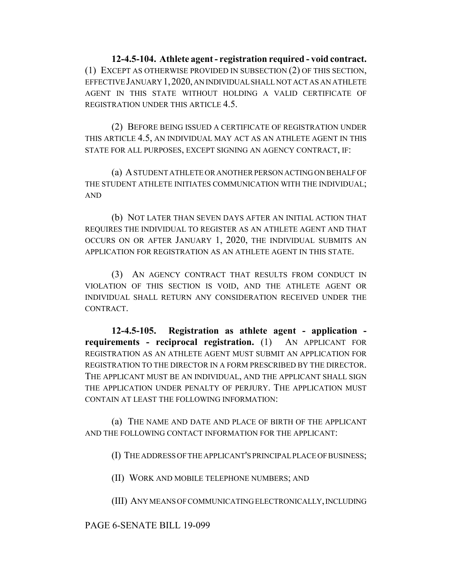**12-4.5-104. Athlete agent - registration required - void contract.** (1) EXCEPT AS OTHERWISE PROVIDED IN SUBSECTION (2) OF THIS SECTION, EFFECTIVE JANUARY 1,2020, AN INDIVIDUAL SHALL NOT ACT AS AN ATHLETE AGENT IN THIS STATE WITHOUT HOLDING A VALID CERTIFICATE OF REGISTRATION UNDER THIS ARTICLE 4.5.

(2) BEFORE BEING ISSUED A CERTIFICATE OF REGISTRATION UNDER THIS ARTICLE 4.5, AN INDIVIDUAL MAY ACT AS AN ATHLETE AGENT IN THIS STATE FOR ALL PURPOSES, EXCEPT SIGNING AN AGENCY CONTRACT, IF:

(a) A STUDENT ATHLETE OR ANOTHER PERSON ACTING ON BEHALF OF THE STUDENT ATHLETE INITIATES COMMUNICATION WITH THE INDIVIDUAL; AND

(b) NOT LATER THAN SEVEN DAYS AFTER AN INITIAL ACTION THAT REQUIRES THE INDIVIDUAL TO REGISTER AS AN ATHLETE AGENT AND THAT OCCURS ON OR AFTER JANUARY 1, 2020, THE INDIVIDUAL SUBMITS AN APPLICATION FOR REGISTRATION AS AN ATHLETE AGENT IN THIS STATE.

(3) AN AGENCY CONTRACT THAT RESULTS FROM CONDUCT IN VIOLATION OF THIS SECTION IS VOID, AND THE ATHLETE AGENT OR INDIVIDUAL SHALL RETURN ANY CONSIDERATION RECEIVED UNDER THE CONTRACT.

**12-4.5-105. Registration as athlete agent - application requirements - reciprocal registration.** (1) AN APPLICANT FOR REGISTRATION AS AN ATHLETE AGENT MUST SUBMIT AN APPLICATION FOR REGISTRATION TO THE DIRECTOR IN A FORM PRESCRIBED BY THE DIRECTOR. THE APPLICANT MUST BE AN INDIVIDUAL, AND THE APPLICANT SHALL SIGN THE APPLICATION UNDER PENALTY OF PERJURY. THE APPLICATION MUST CONTAIN AT LEAST THE FOLLOWING INFORMATION:

(a) THE NAME AND DATE AND PLACE OF BIRTH OF THE APPLICANT AND THE FOLLOWING CONTACT INFORMATION FOR THE APPLICANT:

(I) THE ADDRESS OF THE APPLICANT'S PRINCIPAL PLACE OF BUSINESS;

(II) WORK AND MOBILE TELEPHONE NUMBERS; AND

(III) ANY MEANS OF COMMUNICATING ELECTRONICALLY, INCLUDING

PAGE 6-SENATE BILL 19-099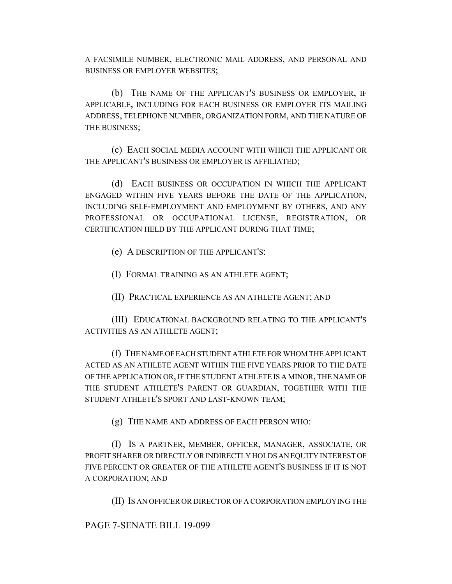A FACSIMILE NUMBER, ELECTRONIC MAIL ADDRESS, AND PERSONAL AND BUSINESS OR EMPLOYER WEBSITES;

(b) THE NAME OF THE APPLICANT'S BUSINESS OR EMPLOYER, IF APPLICABLE, INCLUDING FOR EACH BUSINESS OR EMPLOYER ITS MAILING ADDRESS, TELEPHONE NUMBER, ORGANIZATION FORM, AND THE NATURE OF THE BUSINESS;

(c) EACH SOCIAL MEDIA ACCOUNT WITH WHICH THE APPLICANT OR THE APPLICANT'S BUSINESS OR EMPLOYER IS AFFILIATED;

(d) EACH BUSINESS OR OCCUPATION IN WHICH THE APPLICANT ENGAGED WITHIN FIVE YEARS BEFORE THE DATE OF THE APPLICATION, INCLUDING SELF-EMPLOYMENT AND EMPLOYMENT BY OTHERS, AND ANY PROFESSIONAL OR OCCUPATIONAL LICENSE, REGISTRATION, OR CERTIFICATION HELD BY THE APPLICANT DURING THAT TIME;

(e) A DESCRIPTION OF THE APPLICANT'S:

(I) FORMAL TRAINING AS AN ATHLETE AGENT;

(II) PRACTICAL EXPERIENCE AS AN ATHLETE AGENT; AND

(III) EDUCATIONAL BACKGROUND RELATING TO THE APPLICANT'S ACTIVITIES AS AN ATHLETE AGENT;

(f) THE NAME OF EACH STUDENT ATHLETE FOR WHOM THE APPLICANT ACTED AS AN ATHLETE AGENT WITHIN THE FIVE YEARS PRIOR TO THE DATE OF THE APPLICATION OR, IF THE STUDENT ATHLETE IS A MINOR, THE NAME OF THE STUDENT ATHLETE'S PARENT OR GUARDIAN, TOGETHER WITH THE STUDENT ATHLETE'S SPORT AND LAST-KNOWN TEAM;

(g) THE NAME AND ADDRESS OF EACH PERSON WHO:

(I) IS A PARTNER, MEMBER, OFFICER, MANAGER, ASSOCIATE, OR PROFIT SHARER OR DIRECTLY OR INDIRECTLY HOLDS AN EQUITY INTEREST OF FIVE PERCENT OR GREATER OF THE ATHLETE AGENT'S BUSINESS IF IT IS NOT A CORPORATION; AND

(II) IS AN OFFICER OR DIRECTOR OF A CORPORATION EMPLOYING THE

PAGE 7-SENATE BILL 19-099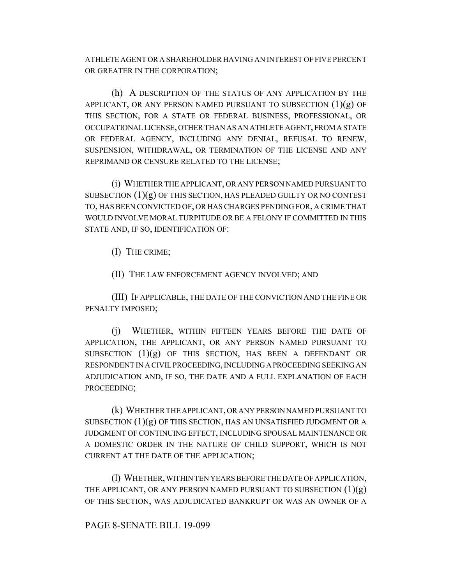ATHLETE AGENT OR A SHAREHOLDER HAVING AN INTEREST OF FIVE PERCENT OR GREATER IN THE CORPORATION;

(h) A DESCRIPTION OF THE STATUS OF ANY APPLICATION BY THE APPLICANT, OR ANY PERSON NAMED PURSUANT TO SUBSECTION  $(1)(g)$  OF THIS SECTION, FOR A STATE OR FEDERAL BUSINESS, PROFESSIONAL, OR OCCUPATIONAL LICENSE, OTHER THAN AS AN ATHLETE AGENT, FROM A STATE OR FEDERAL AGENCY, INCLUDING ANY DENIAL, REFUSAL TO RENEW, SUSPENSION, WITHDRAWAL, OR TERMINATION OF THE LICENSE AND ANY REPRIMAND OR CENSURE RELATED TO THE LICENSE;

(i) WHETHER THE APPLICANT, OR ANY PERSON NAMED PURSUANT TO SUBSECTION  $(1)(g)$  OF THIS SECTION, HAS PLEADED GUILTY OR NO CONTEST TO, HAS BEEN CONVICTED OF, OR HAS CHARGES PENDING FOR, A CRIME THAT WOULD INVOLVE MORAL TURPITUDE OR BE A FELONY IF COMMITTED IN THIS STATE AND, IF SO, IDENTIFICATION OF:

(I) THE CRIME;

(II) THE LAW ENFORCEMENT AGENCY INVOLVED; AND

(III) IF APPLICABLE, THE DATE OF THE CONVICTION AND THE FINE OR PENALTY IMPOSED;

(j) WHETHER, WITHIN FIFTEEN YEARS BEFORE THE DATE OF APPLICATION, THE APPLICANT, OR ANY PERSON NAMED PURSUANT TO SUBSECTION  $(1)(g)$  OF THIS SECTION, HAS BEEN A DEFENDANT OR RESPONDENT IN A CIVIL PROCEEDING, INCLUDING A PROCEEDING SEEKING AN ADJUDICATION AND, IF SO, THE DATE AND A FULL EXPLANATION OF EACH PROCEEDING;

(k) WHETHER THE APPLICANT, OR ANY PERSON NAMED PURSUANT TO SUBSECTION  $(1)(g)$  OF THIS SECTION, HAS AN UNSATISFIED JUDGMENT OR A JUDGMENT OF CONTINUING EFFECT, INCLUDING SPOUSAL MAINTENANCE OR A DOMESTIC ORDER IN THE NATURE OF CHILD SUPPORT, WHICH IS NOT CURRENT AT THE DATE OF THE APPLICATION;

(l) WHETHER, WITHIN TEN YEARS BEFORE THE DATE OF APPLICATION, THE APPLICANT, OR ANY PERSON NAMED PURSUANT TO SUBSECTION  $(1)(g)$ OF THIS SECTION, WAS ADJUDICATED BANKRUPT OR WAS AN OWNER OF A

## PAGE 8-SENATE BILL 19-099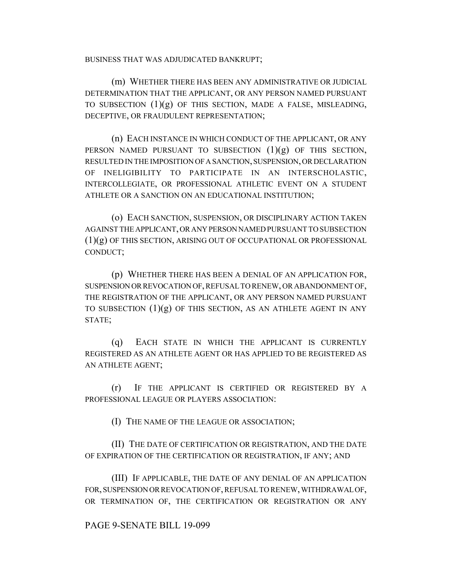BUSINESS THAT WAS ADJUDICATED BANKRUPT;

(m) WHETHER THERE HAS BEEN ANY ADMINISTRATIVE OR JUDICIAL DETERMINATION THAT THE APPLICANT, OR ANY PERSON NAMED PURSUANT TO SUBSECTION  $(1)(g)$  OF THIS SECTION, MADE A FALSE, MISLEADING, DECEPTIVE, OR FRAUDULENT REPRESENTATION;

(n) EACH INSTANCE IN WHICH CONDUCT OF THE APPLICANT, OR ANY PERSON NAMED PURSUANT TO SUBSECTION  $(1)(g)$  OF THIS SECTION, RESULTED IN THE IMPOSITION OF A SANCTION, SUSPENSION, OR DECLARATION OF INELIGIBILITY TO PARTICIPATE IN AN INTERSCHOLASTIC, INTERCOLLEGIATE, OR PROFESSIONAL ATHLETIC EVENT ON A STUDENT ATHLETE OR A SANCTION ON AN EDUCATIONAL INSTITUTION;

(o) EACH SANCTION, SUSPENSION, OR DISCIPLINARY ACTION TAKEN AGAINST THE APPLICANT, OR ANY PERSON NAMED PURSUANT TO SUBSECTION (1)(g) OF THIS SECTION, ARISING OUT OF OCCUPATIONAL OR PROFESSIONAL CONDUCT;

(p) WHETHER THERE HAS BEEN A DENIAL OF AN APPLICATION FOR, SUSPENSION OR REVOCATION OF, REFUSAL TO RENEW, OR ABANDONMENT OF, THE REGISTRATION OF THE APPLICANT, OR ANY PERSON NAMED PURSUANT TO SUBSECTION  $(1)(g)$  OF THIS SECTION, AS AN ATHLETE AGENT IN ANY STATE;

(q) EACH STATE IN WHICH THE APPLICANT IS CURRENTLY REGISTERED AS AN ATHLETE AGENT OR HAS APPLIED TO BE REGISTERED AS AN ATHLETE AGENT;

(r) IF THE APPLICANT IS CERTIFIED OR REGISTERED BY A PROFESSIONAL LEAGUE OR PLAYERS ASSOCIATION:

(I) THE NAME OF THE LEAGUE OR ASSOCIATION;

(II) THE DATE OF CERTIFICATION OR REGISTRATION, AND THE DATE OF EXPIRATION OF THE CERTIFICATION OR REGISTRATION, IF ANY; AND

(III) IF APPLICABLE, THE DATE OF ANY DENIAL OF AN APPLICATION FOR, SUSPENSION OR REVOCATION OF, REFUSAL TO RENEW, WITHDRAWAL OF, OR TERMINATION OF, THE CERTIFICATION OR REGISTRATION OR ANY

## PAGE 9-SENATE BILL 19-099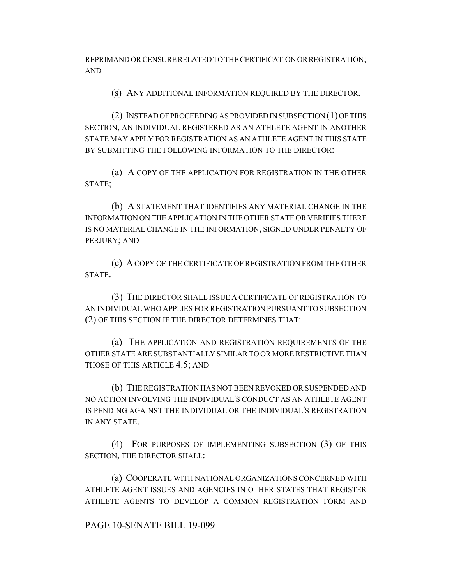REPRIMAND OR CENSURE RELATED TO THE CERTIFICATION OR REGISTRATION; AND

(s) ANY ADDITIONAL INFORMATION REQUIRED BY THE DIRECTOR.

(2) INSTEAD OF PROCEEDING AS PROVIDED IN SUBSECTION (1) OF THIS SECTION, AN INDIVIDUAL REGISTERED AS AN ATHLETE AGENT IN ANOTHER STATE MAY APPLY FOR REGISTRATION AS AN ATHLETE AGENT IN THIS STATE BY SUBMITTING THE FOLLOWING INFORMATION TO THE DIRECTOR:

(a) A COPY OF THE APPLICATION FOR REGISTRATION IN THE OTHER STATE;

(b) A STATEMENT THAT IDENTIFIES ANY MATERIAL CHANGE IN THE INFORMATION ON THE APPLICATION IN THE OTHER STATE OR VERIFIES THERE IS NO MATERIAL CHANGE IN THE INFORMATION, SIGNED UNDER PENALTY OF PERJURY; AND

(c) A COPY OF THE CERTIFICATE OF REGISTRATION FROM THE OTHER **STATE** 

(3) THE DIRECTOR SHALL ISSUE A CERTIFICATE OF REGISTRATION TO AN INDIVIDUAL WHO APPLIES FOR REGISTRATION PURSUANT TO SUBSECTION (2) OF THIS SECTION IF THE DIRECTOR DETERMINES THAT:

(a) THE APPLICATION AND REGISTRATION REQUIREMENTS OF THE OTHER STATE ARE SUBSTANTIALLY SIMILAR TO OR MORE RESTRICTIVE THAN THOSE OF THIS ARTICLE 4.5; AND

(b) THE REGISTRATION HAS NOT BEEN REVOKED OR SUSPENDED AND NO ACTION INVOLVING THE INDIVIDUAL'S CONDUCT AS AN ATHLETE AGENT IS PENDING AGAINST THE INDIVIDUAL OR THE INDIVIDUAL'S REGISTRATION IN ANY STATE.

(4) FOR PURPOSES OF IMPLEMENTING SUBSECTION (3) OF THIS SECTION, THE DIRECTOR SHALL:

(a) COOPERATE WITH NATIONAL ORGANIZATIONS CONCERNED WITH ATHLETE AGENT ISSUES AND AGENCIES IN OTHER STATES THAT REGISTER ATHLETE AGENTS TO DEVELOP A COMMON REGISTRATION FORM AND

## PAGE 10-SENATE BILL 19-099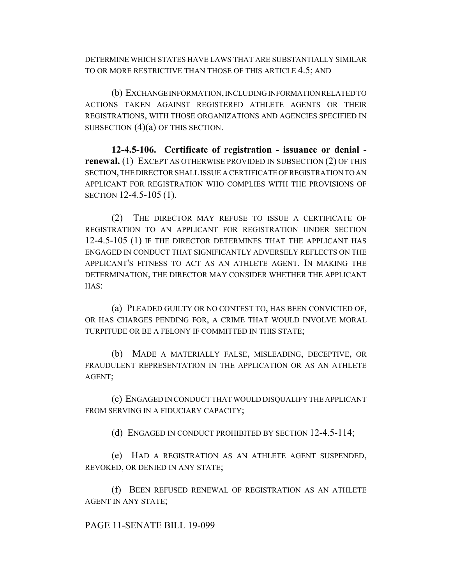DETERMINE WHICH STATES HAVE LAWS THAT ARE SUBSTANTIALLY SIMILAR TO OR MORE RESTRICTIVE THAN THOSE OF THIS ARTICLE 4.5; AND

(b) EXCHANGE INFORMATION, INCLUDING INFORMATION RELATED TO ACTIONS TAKEN AGAINST REGISTERED ATHLETE AGENTS OR THEIR REGISTRATIONS, WITH THOSE ORGANIZATIONS AND AGENCIES SPECIFIED IN SUBSECTION  $(4)(a)$  OF THIS SECTION.

**12-4.5-106. Certificate of registration - issuance or denial renewal.** (1) EXCEPT AS OTHERWISE PROVIDED IN SUBSECTION (2) OF THIS SECTION, THE DIRECTOR SHALL ISSUE A CERTIFICATE OF REGISTRATION TO AN APPLICANT FOR REGISTRATION WHO COMPLIES WITH THE PROVISIONS OF SECTION 12-4.5-105 (1).

(2) THE DIRECTOR MAY REFUSE TO ISSUE A CERTIFICATE OF REGISTRATION TO AN APPLICANT FOR REGISTRATION UNDER SECTION 12-4.5-105 (1) IF THE DIRECTOR DETERMINES THAT THE APPLICANT HAS ENGAGED IN CONDUCT THAT SIGNIFICANTLY ADVERSELY REFLECTS ON THE APPLICANT'S FITNESS TO ACT AS AN ATHLETE AGENT. IN MAKING THE DETERMINATION, THE DIRECTOR MAY CONSIDER WHETHER THE APPLICANT HAS:

(a) PLEADED GUILTY OR NO CONTEST TO, HAS BEEN CONVICTED OF, OR HAS CHARGES PENDING FOR, A CRIME THAT WOULD INVOLVE MORAL TURPITUDE OR BE A FELONY IF COMMITTED IN THIS STATE;

(b) MADE A MATERIALLY FALSE, MISLEADING, DECEPTIVE, OR FRAUDULENT REPRESENTATION IN THE APPLICATION OR AS AN ATHLETE AGENT;

(c) ENGAGED IN CONDUCT THAT WOULD DISQUALIFY THE APPLICANT FROM SERVING IN A FIDUCIARY CAPACITY;

(d) ENGAGED IN CONDUCT PROHIBITED BY SECTION 12-4.5-114;

(e) HAD A REGISTRATION AS AN ATHLETE AGENT SUSPENDED, REVOKED, OR DENIED IN ANY STATE;

(f) BEEN REFUSED RENEWAL OF REGISTRATION AS AN ATHLETE AGENT IN ANY STATE;

PAGE 11-SENATE BILL 19-099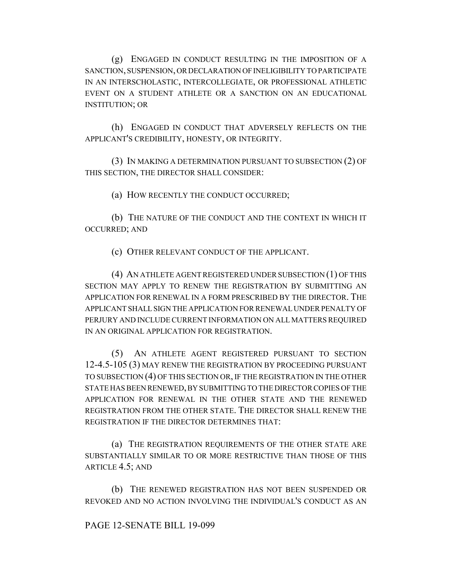(g) ENGAGED IN CONDUCT RESULTING IN THE IMPOSITION OF A SANCTION, SUSPENSION, OR DECLARATION OF INELIGIBILITY TO PARTICIPATE IN AN INTERSCHOLASTIC, INTERCOLLEGIATE, OR PROFESSIONAL ATHLETIC EVENT ON A STUDENT ATHLETE OR A SANCTION ON AN EDUCATIONAL INSTITUTION; OR

(h) ENGAGED IN CONDUCT THAT ADVERSELY REFLECTS ON THE APPLICANT'S CREDIBILITY, HONESTY, OR INTEGRITY.

(3) IN MAKING A DETERMINATION PURSUANT TO SUBSECTION (2) OF THIS SECTION, THE DIRECTOR SHALL CONSIDER:

(a) HOW RECENTLY THE CONDUCT OCCURRED;

(b) THE NATURE OF THE CONDUCT AND THE CONTEXT IN WHICH IT OCCURRED; AND

(c) OTHER RELEVANT CONDUCT OF THE APPLICANT.

(4) AN ATHLETE AGENT REGISTERED UNDER SUBSECTION (1) OF THIS SECTION MAY APPLY TO RENEW THE REGISTRATION BY SUBMITTING AN APPLICATION FOR RENEWAL IN A FORM PRESCRIBED BY THE DIRECTOR. THE APPLICANT SHALL SIGN THE APPLICATION FOR RENEWAL UNDER PENALTY OF PERJURY AND INCLUDE CURRENT INFORMATION ON ALL MATTERS REQUIRED IN AN ORIGINAL APPLICATION FOR REGISTRATION.

(5) AN ATHLETE AGENT REGISTERED PURSUANT TO SECTION 12-4.5-105 (3) MAY RENEW THE REGISTRATION BY PROCEEDING PURSUANT TO SUBSECTION (4) OF THIS SECTION OR, IF THE REGISTRATION IN THE OTHER STATE HAS BEEN RENEWED, BY SUBMITTING TO THE DIRECTOR COPIES OF THE APPLICATION FOR RENEWAL IN THE OTHER STATE AND THE RENEWED REGISTRATION FROM THE OTHER STATE. THE DIRECTOR SHALL RENEW THE REGISTRATION IF THE DIRECTOR DETERMINES THAT:

(a) THE REGISTRATION REQUIREMENTS OF THE OTHER STATE ARE SUBSTANTIALLY SIMILAR TO OR MORE RESTRICTIVE THAN THOSE OF THIS ARTICLE 4.5; AND

(b) THE RENEWED REGISTRATION HAS NOT BEEN SUSPENDED OR REVOKED AND NO ACTION INVOLVING THE INDIVIDUAL'S CONDUCT AS AN

## PAGE 12-SENATE BILL 19-099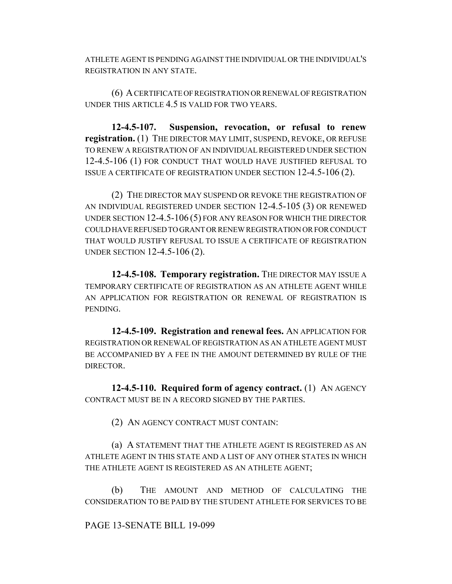ATHLETE AGENT IS PENDING AGAINST THE INDIVIDUAL OR THE INDIVIDUAL'S REGISTRATION IN ANY STATE.

(6) A CERTIFICATE OF REGISTRATION OR RENEWAL OF REGISTRATION UNDER THIS ARTICLE 4.5 IS VALID FOR TWO YEARS.

**12-4.5-107. Suspension, revocation, or refusal to renew registration.** (1) THE DIRECTOR MAY LIMIT, SUSPEND, REVOKE, OR REFUSE TO RENEW A REGISTRATION OF AN INDIVIDUAL REGISTERED UNDER SECTION 12-4.5-106 (1) FOR CONDUCT THAT WOULD HAVE JUSTIFIED REFUSAL TO ISSUE A CERTIFICATE OF REGISTRATION UNDER SECTION 12-4.5-106 (2).

(2) THE DIRECTOR MAY SUSPEND OR REVOKE THE REGISTRATION OF AN INDIVIDUAL REGISTERED UNDER SECTION 12-4.5-105 (3) OR RENEWED UNDER SECTION 12-4.5-106 (5) FOR ANY REASON FOR WHICH THE DIRECTOR COULD HAVE REFUSED TO GRANT OR RENEW REGISTRATION OR FOR CONDUCT THAT WOULD JUSTIFY REFUSAL TO ISSUE A CERTIFICATE OF REGISTRATION UNDER SECTION 12-4.5-106 (2).

**12-4.5-108. Temporary registration.** THE DIRECTOR MAY ISSUE A TEMPORARY CERTIFICATE OF REGISTRATION AS AN ATHLETE AGENT WHILE AN APPLICATION FOR REGISTRATION OR RENEWAL OF REGISTRATION IS PENDING.

**12-4.5-109. Registration and renewal fees.** AN APPLICATION FOR REGISTRATION OR RENEWAL OF REGISTRATION AS AN ATHLETE AGENT MUST BE ACCOMPANIED BY A FEE IN THE AMOUNT DETERMINED BY RULE OF THE DIRECTOR.

**12-4.5-110. Required form of agency contract.** (1) AN AGENCY CONTRACT MUST BE IN A RECORD SIGNED BY THE PARTIES.

(2) AN AGENCY CONTRACT MUST CONTAIN:

(a) A STATEMENT THAT THE ATHLETE AGENT IS REGISTERED AS AN ATHLETE AGENT IN THIS STATE AND A LIST OF ANY OTHER STATES IN WHICH THE ATHLETE AGENT IS REGISTERED AS AN ATHLETE AGENT;

(b) THE AMOUNT AND METHOD OF CALCULATING THE CONSIDERATION TO BE PAID BY THE STUDENT ATHLETE FOR SERVICES TO BE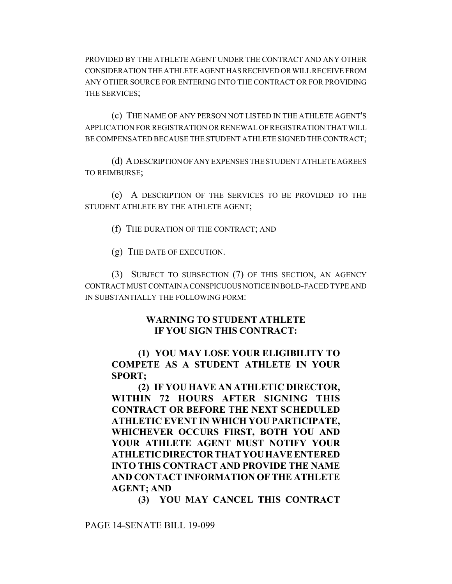PROVIDED BY THE ATHLETE AGENT UNDER THE CONTRACT AND ANY OTHER CONSIDERATION THE ATHLETE AGENT HAS RECEIVED OR WILL RECEIVE FROM ANY OTHER SOURCE FOR ENTERING INTO THE CONTRACT OR FOR PROVIDING THE SERVICES;

(c) THE NAME OF ANY PERSON NOT LISTED IN THE ATHLETE AGENT'S APPLICATION FOR REGISTRATION OR RENEWAL OF REGISTRATION THAT WILL BE COMPENSATED BECAUSE THE STUDENT ATHLETE SIGNED THE CONTRACT;

(d) A DESCRIPTION OF ANY EXPENSES THE STUDENT ATHLETE AGREES TO REIMBURSE;

(e) A DESCRIPTION OF THE SERVICES TO BE PROVIDED TO THE STUDENT ATHLETE BY THE ATHLETE AGENT;

(f) THE DURATION OF THE CONTRACT; AND

(g) THE DATE OF EXECUTION.

(3) SUBJECT TO SUBSECTION (7) OF THIS SECTION, AN AGENCY CONTRACT MUST CONTAIN A CONSPICUOUS NOTICE IN BOLD-FACED TYPE AND IN SUBSTANTIALLY THE FOLLOWING FORM:

## **WARNING TO STUDENT ATHLETE IF YOU SIGN THIS CONTRACT:**

# **(1) YOU MAY LOSE YOUR ELIGIBILITY TO COMPETE AS A STUDENT ATHLETE IN YOUR SPORT;**

**(2) IF YOU HAVE AN ATHLETIC DIRECTOR, WITHIN 72 HOURS AFTER SIGNING THIS CONTRACT OR BEFORE THE NEXT SCHEDULED ATHLETIC EVENT IN WHICH YOU PARTICIPATE, WHICHEVER OCCURS FIRST, BOTH YOU AND YOUR ATHLETE AGENT MUST NOTIFY YOUR ATHLETICDIRECTORTHATYOUHAVEENTERED INTO THIS CONTRACT AND PROVIDE THE NAME AND CONTACT INFORMATION OF THE ATHLETE AGENT; AND**

**(3) YOU MAY CANCEL THIS CONTRACT**

PAGE 14-SENATE BILL 19-099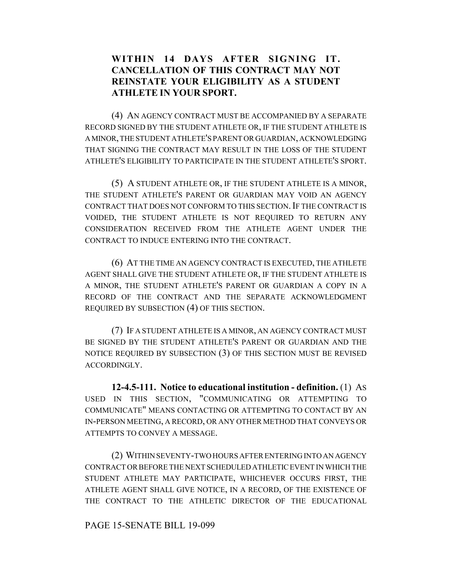# **WITHIN 14 DAYS AFTER SIGNING IT. CANCELLATION OF THIS CONTRACT MAY NOT REINSTATE YOUR ELIGIBILITY AS A STUDENT ATHLETE IN YOUR SPORT.**

(4) AN AGENCY CONTRACT MUST BE ACCOMPANIED BY A SEPARATE RECORD SIGNED BY THE STUDENT ATHLETE OR, IF THE STUDENT ATHLETE IS A MINOR, THE STUDENT ATHLETE'S PARENT OR GUARDIAN, ACKNOWLEDGING THAT SIGNING THE CONTRACT MAY RESULT IN THE LOSS OF THE STUDENT ATHLETE'S ELIGIBILITY TO PARTICIPATE IN THE STUDENT ATHLETE'S SPORT.

(5) A STUDENT ATHLETE OR, IF THE STUDENT ATHLETE IS A MINOR, THE STUDENT ATHLETE'S PARENT OR GUARDIAN MAY VOID AN AGENCY CONTRACT THAT DOES NOT CONFORM TO THIS SECTION. IF THE CONTRACT IS VOIDED, THE STUDENT ATHLETE IS NOT REQUIRED TO RETURN ANY CONSIDERATION RECEIVED FROM THE ATHLETE AGENT UNDER THE CONTRACT TO INDUCE ENTERING INTO THE CONTRACT.

(6) AT THE TIME AN AGENCY CONTRACT IS EXECUTED, THE ATHLETE AGENT SHALL GIVE THE STUDENT ATHLETE OR, IF THE STUDENT ATHLETE IS A MINOR, THE STUDENT ATHLETE'S PARENT OR GUARDIAN A COPY IN A RECORD OF THE CONTRACT AND THE SEPARATE ACKNOWLEDGMENT REQUIRED BY SUBSECTION (4) OF THIS SECTION.

(7) IF A STUDENT ATHLETE IS A MINOR, AN AGENCY CONTRACT MUST BE SIGNED BY THE STUDENT ATHLETE'S PARENT OR GUARDIAN AND THE NOTICE REQUIRED BY SUBSECTION (3) OF THIS SECTION MUST BE REVISED ACCORDINGLY.

**12-4.5-111. Notice to educational institution - definition.** (1) AS USED IN THIS SECTION, "COMMUNICATING OR ATTEMPTING TO COMMUNICATE" MEANS CONTACTING OR ATTEMPTING TO CONTACT BY AN IN-PERSON MEETING, A RECORD, OR ANY OTHER METHOD THAT CONVEYS OR ATTEMPTS TO CONVEY A MESSAGE.

(2) WITHIN SEVENTY-TWO HOURS AFTER ENTERING INTO AN AGENCY CONTRACT OR BEFORE THE NEXT SCHEDULED ATHLETIC EVENT IN WHICH THE STUDENT ATHLETE MAY PARTICIPATE, WHICHEVER OCCURS FIRST, THE ATHLETE AGENT SHALL GIVE NOTICE, IN A RECORD, OF THE EXISTENCE OF THE CONTRACT TO THE ATHLETIC DIRECTOR OF THE EDUCATIONAL

## PAGE 15-SENATE BILL 19-099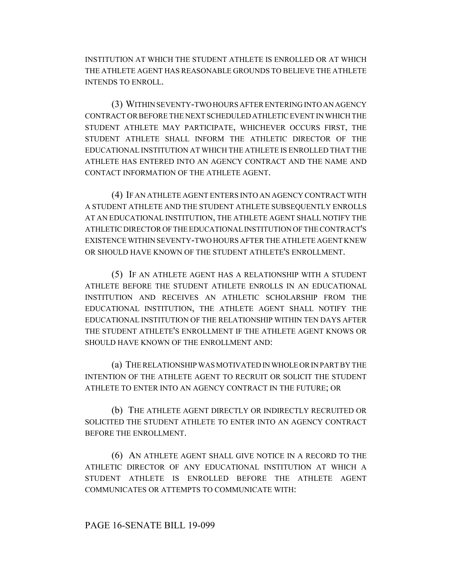INSTITUTION AT WHICH THE STUDENT ATHLETE IS ENROLLED OR AT WHICH THE ATHLETE AGENT HAS REASONABLE GROUNDS TO BELIEVE THE ATHLETE INTENDS TO ENROLL.

(3) WITHIN SEVENTY-TWO HOURS AFTER ENTERING INTO AN AGENCY CONTRACT OR BEFORE THE NEXT SCHEDULED ATHLETIC EVENT IN WHICH THE STUDENT ATHLETE MAY PARTICIPATE, WHICHEVER OCCURS FIRST, THE STUDENT ATHLETE SHALL INFORM THE ATHLETIC DIRECTOR OF THE EDUCATIONAL INSTITUTION AT WHICH THE ATHLETE IS ENROLLED THAT THE ATHLETE HAS ENTERED INTO AN AGENCY CONTRACT AND THE NAME AND CONTACT INFORMATION OF THE ATHLETE AGENT.

(4) IF AN ATHLETE AGENT ENTERS INTO AN AGENCY CONTRACT WITH A STUDENT ATHLETE AND THE STUDENT ATHLETE SUBSEQUENTLY ENROLLS AT AN EDUCATIONAL INSTITUTION, THE ATHLETE AGENT SHALL NOTIFY THE ATHLETIC DIRECTOR OF THE EDUCATIONAL INSTITUTION OF THE CONTRACT'S EXISTENCE WITHIN SEVENTY-TWO HOURS AFTER THE ATHLETE AGENT KNEW OR SHOULD HAVE KNOWN OF THE STUDENT ATHLETE'S ENROLLMENT.

(5) IF AN ATHLETE AGENT HAS A RELATIONSHIP WITH A STUDENT ATHLETE BEFORE THE STUDENT ATHLETE ENROLLS IN AN EDUCATIONAL INSTITUTION AND RECEIVES AN ATHLETIC SCHOLARSHIP FROM THE EDUCATIONAL INSTITUTION, THE ATHLETE AGENT SHALL NOTIFY THE EDUCATIONAL INSTITUTION OF THE RELATIONSHIP WITHIN TEN DAYS AFTER THE STUDENT ATHLETE'S ENROLLMENT IF THE ATHLETE AGENT KNOWS OR SHOULD HAVE KNOWN OF THE ENROLLMENT AND:

(a) THE RELATIONSHIP WAS MOTIVATED IN WHOLE OR IN PART BY THE INTENTION OF THE ATHLETE AGENT TO RECRUIT OR SOLICIT THE STUDENT ATHLETE TO ENTER INTO AN AGENCY CONTRACT IN THE FUTURE; OR

(b) THE ATHLETE AGENT DIRECTLY OR INDIRECTLY RECRUITED OR SOLICITED THE STUDENT ATHLETE TO ENTER INTO AN AGENCY CONTRACT BEFORE THE ENROLLMENT.

(6) AN ATHLETE AGENT SHALL GIVE NOTICE IN A RECORD TO THE ATHLETIC DIRECTOR OF ANY EDUCATIONAL INSTITUTION AT WHICH A STUDENT ATHLETE IS ENROLLED BEFORE THE ATHLETE AGENT COMMUNICATES OR ATTEMPTS TO COMMUNICATE WITH: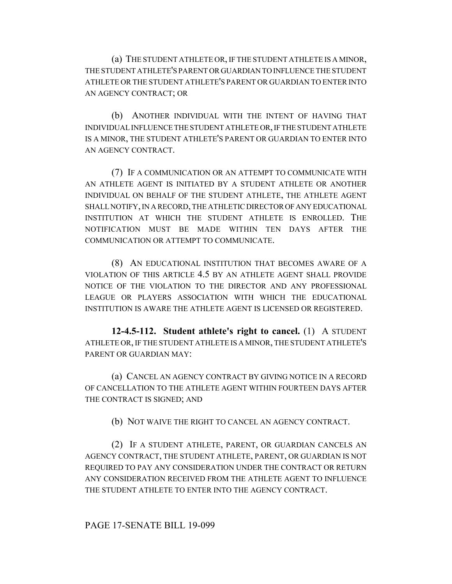(a) THE STUDENT ATHLETE OR, IF THE STUDENT ATHLETE IS A MINOR, THE STUDENT ATHLETE'S PARENT OR GUARDIAN TO INFLUENCE THE STUDENT ATHLETE OR THE STUDENT ATHLETE'S PARENT OR GUARDIAN TO ENTER INTO AN AGENCY CONTRACT; OR

(b) ANOTHER INDIVIDUAL WITH THE INTENT OF HAVING THAT INDIVIDUAL INFLUENCE THE STUDENT ATHLETE OR, IF THE STUDENT ATHLETE IS A MINOR, THE STUDENT ATHLETE'S PARENT OR GUARDIAN TO ENTER INTO AN AGENCY CONTRACT.

(7) IF A COMMUNICATION OR AN ATTEMPT TO COMMUNICATE WITH AN ATHLETE AGENT IS INITIATED BY A STUDENT ATHLETE OR ANOTHER INDIVIDUAL ON BEHALF OF THE STUDENT ATHLETE, THE ATHLETE AGENT SHALL NOTIFY, IN A RECORD, THE ATHLETIC DIRECTOR OF ANY EDUCATIONAL INSTITUTION AT WHICH THE STUDENT ATHLETE IS ENROLLED. THE NOTIFICATION MUST BE MADE WITHIN TEN DAYS AFTER THE COMMUNICATION OR ATTEMPT TO COMMUNICATE.

(8) AN EDUCATIONAL INSTITUTION THAT BECOMES AWARE OF A VIOLATION OF THIS ARTICLE 4.5 BY AN ATHLETE AGENT SHALL PROVIDE NOTICE OF THE VIOLATION TO THE DIRECTOR AND ANY PROFESSIONAL LEAGUE OR PLAYERS ASSOCIATION WITH WHICH THE EDUCATIONAL INSTITUTION IS AWARE THE ATHLETE AGENT IS LICENSED OR REGISTERED.

**12-4.5-112. Student athlete's right to cancel.** (1) A STUDENT ATHLETE OR, IF THE STUDENT ATHLETE IS A MINOR, THE STUDENT ATHLETE'S PARENT OR GUARDIAN MAY:

(a) CANCEL AN AGENCY CONTRACT BY GIVING NOTICE IN A RECORD OF CANCELLATION TO THE ATHLETE AGENT WITHIN FOURTEEN DAYS AFTER THE CONTRACT IS SIGNED; AND

(b) NOT WAIVE THE RIGHT TO CANCEL AN AGENCY CONTRACT.

(2) IF A STUDENT ATHLETE, PARENT, OR GUARDIAN CANCELS AN AGENCY CONTRACT, THE STUDENT ATHLETE, PARENT, OR GUARDIAN IS NOT REQUIRED TO PAY ANY CONSIDERATION UNDER THE CONTRACT OR RETURN ANY CONSIDERATION RECEIVED FROM THE ATHLETE AGENT TO INFLUENCE THE STUDENT ATHLETE TO ENTER INTO THE AGENCY CONTRACT.

PAGE 17-SENATE BILL 19-099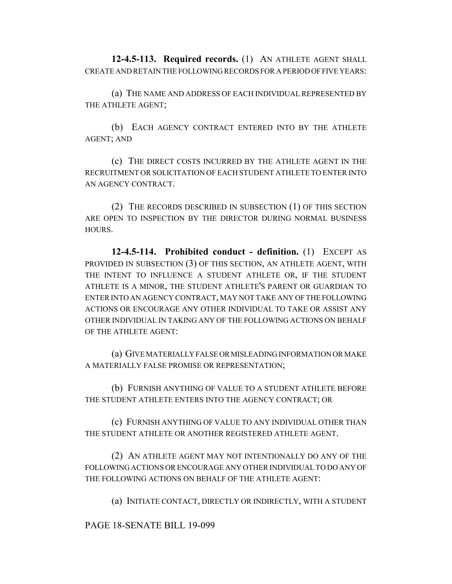**12-4.5-113. Required records.** (1) AN ATHLETE AGENT SHALL CREATE AND RETAIN THE FOLLOWING RECORDS FOR A PERIOD OF FIVE YEARS:

(a) THE NAME AND ADDRESS OF EACH INDIVIDUAL REPRESENTED BY THE ATHLETE AGENT;

(b) EACH AGENCY CONTRACT ENTERED INTO BY THE ATHLETE AGENT; AND

(c) THE DIRECT COSTS INCURRED BY THE ATHLETE AGENT IN THE RECRUITMENT OR SOLICITATION OF EACH STUDENT ATHLETE TO ENTER INTO AN AGENCY CONTRACT.

(2) THE RECORDS DESCRIBED IN SUBSECTION (1) OF THIS SECTION ARE OPEN TO INSPECTION BY THE DIRECTOR DURING NORMAL BUSINESS HOURS.

**12-4.5-114. Prohibited conduct - definition.** (1) EXCEPT AS PROVIDED IN SUBSECTION (3) OF THIS SECTION, AN ATHLETE AGENT, WITH THE INTENT TO INFLUENCE A STUDENT ATHLETE OR, IF THE STUDENT ATHLETE IS A MINOR, THE STUDENT ATHLETE'S PARENT OR GUARDIAN TO ENTER INTO AN AGENCY CONTRACT, MAY NOT TAKE ANY OF THE FOLLOWING ACTIONS OR ENCOURAGE ANY OTHER INDIVIDUAL TO TAKE OR ASSIST ANY OTHER INDIVIDUAL IN TAKING ANY OF THE FOLLOWING ACTIONS ON BEHALF OF THE ATHLETE AGENT:

(a) GIVE MATERIALLY FALSE OR MISLEADING INFORMATION OR MAKE A MATERIALLY FALSE PROMISE OR REPRESENTATION;

(b) FURNISH ANYTHING OF VALUE TO A STUDENT ATHLETE BEFORE THE STUDENT ATHLETE ENTERS INTO THE AGENCY CONTRACT; OR

(c) FURNISH ANYTHING OF VALUE TO ANY INDIVIDUAL OTHER THAN THE STUDENT ATHLETE OR ANOTHER REGISTERED ATHLETE AGENT.

(2) AN ATHLETE AGENT MAY NOT INTENTIONALLY DO ANY OF THE FOLLOWING ACTIONS OR ENCOURAGE ANY OTHER INDIVIDUAL TO DO ANY OF THE FOLLOWING ACTIONS ON BEHALF OF THE ATHLETE AGENT:

(a) INITIATE CONTACT, DIRECTLY OR INDIRECTLY, WITH A STUDENT

PAGE 18-SENATE BILL 19-099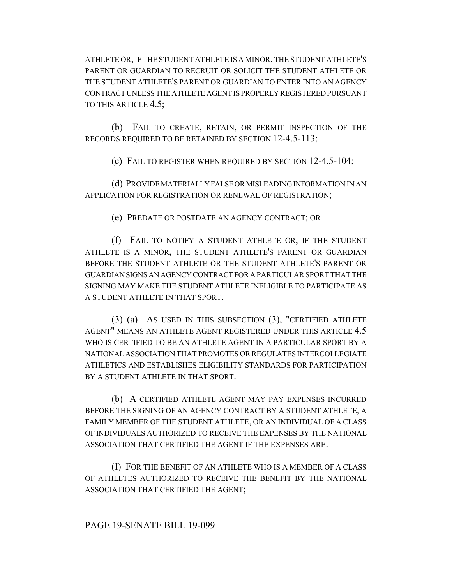ATHLETE OR, IF THE STUDENT ATHLETE IS A MINOR, THE STUDENT ATHLETE'S PARENT OR GUARDIAN TO RECRUIT OR SOLICIT THE STUDENT ATHLETE OR THE STUDENT ATHLETE'S PARENT OR GUARDIAN TO ENTER INTO AN AGENCY CONTRACT UNLESS THE ATHLETE AGENT IS PROPERLY REGISTERED PURSUANT TO THIS ARTICLE 4.5;

(b) FAIL TO CREATE, RETAIN, OR PERMIT INSPECTION OF THE RECORDS REQUIRED TO BE RETAINED BY SECTION 12-4.5-113;

(c) FAIL TO REGISTER WHEN REQUIRED BY SECTION 12-4.5-104;

(d) PROVIDE MATERIALLY FALSE OR MISLEADING INFORMATION IN AN APPLICATION FOR REGISTRATION OR RENEWAL OF REGISTRATION;

(e) PREDATE OR POSTDATE AN AGENCY CONTRACT; OR

(f) FAIL TO NOTIFY A STUDENT ATHLETE OR, IF THE STUDENT ATHLETE IS A MINOR, THE STUDENT ATHLETE'S PARENT OR GUARDIAN BEFORE THE STUDENT ATHLETE OR THE STUDENT ATHLETE'S PARENT OR GUARDIAN SIGNS AN AGENCY CONTRACT FOR A PARTICULAR SPORT THAT THE SIGNING MAY MAKE THE STUDENT ATHLETE INELIGIBLE TO PARTICIPATE AS A STUDENT ATHLETE IN THAT SPORT.

(3) (a) AS USED IN THIS SUBSECTION (3), "CERTIFIED ATHLETE AGENT" MEANS AN ATHLETE AGENT REGISTERED UNDER THIS ARTICLE 4.5 WHO IS CERTIFIED TO BE AN ATHLETE AGENT IN A PARTICULAR SPORT BY A NATIONAL ASSOCIATION THAT PROMOTES OR REGULATES INTERCOLLEGIATE ATHLETICS AND ESTABLISHES ELIGIBILITY STANDARDS FOR PARTICIPATION BY A STUDENT ATHLETE IN THAT SPORT.

(b) A CERTIFIED ATHLETE AGENT MAY PAY EXPENSES INCURRED BEFORE THE SIGNING OF AN AGENCY CONTRACT BY A STUDENT ATHLETE, A FAMILY MEMBER OF THE STUDENT ATHLETE, OR AN INDIVIDUAL OF A CLASS OF INDIVIDUALS AUTHORIZED TO RECEIVE THE EXPENSES BY THE NATIONAL ASSOCIATION THAT CERTIFIED THE AGENT IF THE EXPENSES ARE:

(I) FOR THE BENEFIT OF AN ATHLETE WHO IS A MEMBER OF A CLASS OF ATHLETES AUTHORIZED TO RECEIVE THE BENEFIT BY THE NATIONAL ASSOCIATION THAT CERTIFIED THE AGENT;

## PAGE 19-SENATE BILL 19-099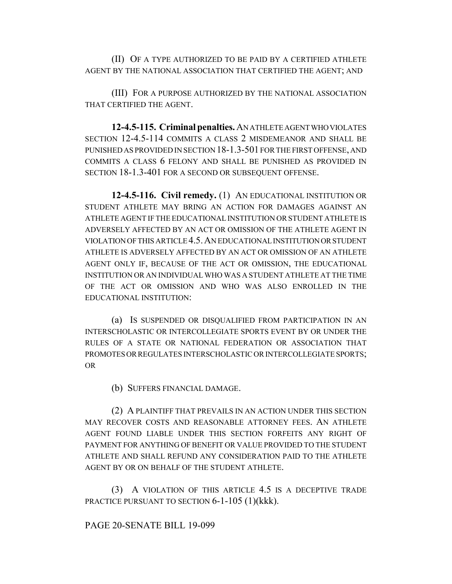(II) OF A TYPE AUTHORIZED TO BE PAID BY A CERTIFIED ATHLETE AGENT BY THE NATIONAL ASSOCIATION THAT CERTIFIED THE AGENT; AND

(III) FOR A PURPOSE AUTHORIZED BY THE NATIONAL ASSOCIATION THAT CERTIFIED THE AGENT.

**12-4.5-115. Criminal penalties.** AN ATHLETE AGENT WHO VIOLATES SECTION 12-4.5-114 COMMITS A CLASS 2 MISDEMEANOR AND SHALL BE PUNISHED AS PROVIDED IN SECTION 18-1.3-501 FOR THE FIRST OFFENSE, AND COMMITS A CLASS 6 FELONY AND SHALL BE PUNISHED AS PROVIDED IN SECTION 18-1.3-401 FOR A SECOND OR SUBSEQUENT OFFENSE.

**12-4.5-116. Civil remedy.** (1) AN EDUCATIONAL INSTITUTION OR STUDENT ATHLETE MAY BRING AN ACTION FOR DAMAGES AGAINST AN ATHLETE AGENT IF THE EDUCATIONAL INSTITUTION OR STUDENT ATHLETE IS ADVERSELY AFFECTED BY AN ACT OR OMISSION OF THE ATHLETE AGENT IN VIOLATION OF THIS ARTICLE 4.5.AN EDUCATIONAL INSTITUTION OR STUDENT ATHLETE IS ADVERSELY AFFECTED BY AN ACT OR OMISSION OF AN ATHLETE AGENT ONLY IF, BECAUSE OF THE ACT OR OMISSION, THE EDUCATIONAL INSTITUTION OR AN INDIVIDUAL WHO WAS A STUDENT ATHLETE AT THE TIME OF THE ACT OR OMISSION AND WHO WAS ALSO ENROLLED IN THE EDUCATIONAL INSTITUTION:

(a) IS SUSPENDED OR DISQUALIFIED FROM PARTICIPATION IN AN INTERSCHOLASTIC OR INTERCOLLEGIATE SPORTS EVENT BY OR UNDER THE RULES OF A STATE OR NATIONAL FEDERATION OR ASSOCIATION THAT PROMOTES OR REGULATES INTERSCHOLASTIC OR INTERCOLLEGIATE SPORTS; OR

(b) SUFFERS FINANCIAL DAMAGE.

(2) A PLAINTIFF THAT PREVAILS IN AN ACTION UNDER THIS SECTION MAY RECOVER COSTS AND REASONABLE ATTORNEY FEES. AN ATHLETE AGENT FOUND LIABLE UNDER THIS SECTION FORFEITS ANY RIGHT OF PAYMENT FOR ANYTHING OF BENEFIT OR VALUE PROVIDED TO THE STUDENT ATHLETE AND SHALL REFUND ANY CONSIDERATION PAID TO THE ATHLETE AGENT BY OR ON BEHALF OF THE STUDENT ATHLETE.

(3) A VIOLATION OF THIS ARTICLE 4.5 IS A DECEPTIVE TRADE PRACTICE PURSUANT TO SECTION 6-1-105 (1)(kkk).

## PAGE 20-SENATE BILL 19-099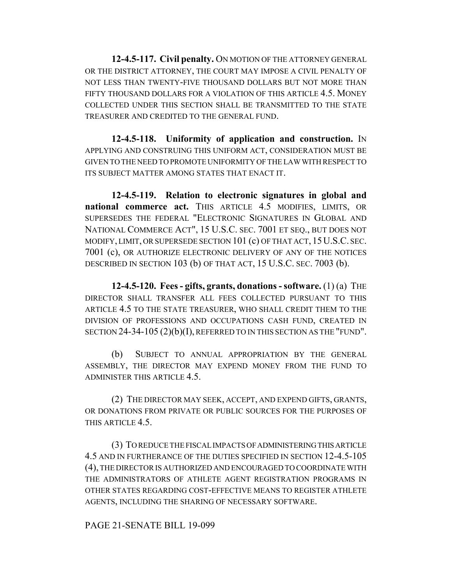**12-4.5-117. Civil penalty.** ON MOTION OF THE ATTORNEY GENERAL OR THE DISTRICT ATTORNEY, THE COURT MAY IMPOSE A CIVIL PENALTY OF NOT LESS THAN TWENTY-FIVE THOUSAND DOLLARS BUT NOT MORE THAN FIFTY THOUSAND DOLLARS FOR A VIOLATION OF THIS ARTICLE 4.5. MONEY COLLECTED UNDER THIS SECTION SHALL BE TRANSMITTED TO THE STATE TREASURER AND CREDITED TO THE GENERAL FUND.

**12-4.5-118. Uniformity of application and construction.** IN APPLYING AND CONSTRUING THIS UNIFORM ACT, CONSIDERATION MUST BE GIVEN TO THE NEED TO PROMOTE UNIFORMITY OF THE LAW WITH RESPECT TO ITS SUBJECT MATTER AMONG STATES THAT ENACT IT.

**12-4.5-119. Relation to electronic signatures in global and** national commerce act. THIS ARTICLE 4.5 MODIFIES, LIMITS, OR SUPERSEDES THE FEDERAL "ELECTRONIC SIGNATURES IN GLOBAL AND NATIONAL COMMERCE ACT", 15 U.S.C. SEC. 7001 ET SEQ., BUT DOES NOT MODIFY, LIMIT, OR SUPERSEDE SECTION 101 (c) OF THAT ACT, 15U.S.C. SEC. 7001 (c), OR AUTHORIZE ELECTRONIC DELIVERY OF ANY OF THE NOTICES DESCRIBED IN SECTION 103 (b) OF THAT ACT, 15 U.S.C. SEC. 7003 (b).

**12-4.5-120. Fees - gifts, grants, donations - software.** (1) (a) THE DIRECTOR SHALL TRANSFER ALL FEES COLLECTED PURSUANT TO THIS ARTICLE 4.5 TO THE STATE TREASURER, WHO SHALL CREDIT THEM TO THE DIVISION OF PROFESSIONS AND OCCUPATIONS CASH FUND, CREATED IN SECTION 24-34-105 (2)(b)(I), REFERRED TO IN THIS SECTION AS THE "FUND".

(b) SUBJECT TO ANNUAL APPROPRIATION BY THE GENERAL ASSEMBLY, THE DIRECTOR MAY EXPEND MONEY FROM THE FUND TO ADMINISTER THIS ARTICLE 4.5.

(2) THE DIRECTOR MAY SEEK, ACCEPT, AND EXPEND GIFTS, GRANTS, OR DONATIONS FROM PRIVATE OR PUBLIC SOURCES FOR THE PURPOSES OF THIS ARTICLE 4.5.

(3) TO REDUCE THE FISCAL IMPACTS OF ADMINISTERING THIS ARTICLE 4.5 AND IN FURTHERANCE OF THE DUTIES SPECIFIED IN SECTION 12-4.5-105 (4), THE DIRECTOR IS AUTHORIZED AND ENCOURAGED TO COORDINATE WITH THE ADMINISTRATORS OF ATHLETE AGENT REGISTRATION PROGRAMS IN OTHER STATES REGARDING COST-EFFECTIVE MEANS TO REGISTER ATHLETE AGENTS, INCLUDING THE SHARING OF NECESSARY SOFTWARE.

## PAGE 21-SENATE BILL 19-099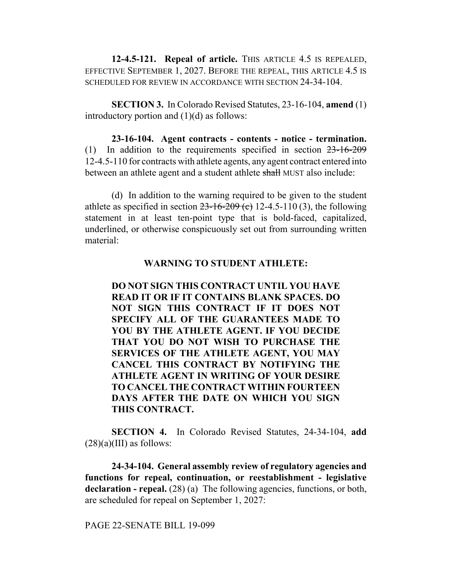**12-4.5-121. Repeal of article.** THIS ARTICLE 4.5 IS REPEALED, EFFECTIVE SEPTEMBER 1, 2027. BEFORE THE REPEAL, THIS ARTICLE 4.5 IS SCHEDULED FOR REVIEW IN ACCORDANCE WITH SECTION 24-34-104.

**SECTION 3.** In Colorado Revised Statutes, 23-16-104, **amend** (1) introductory portion and  $(1)(d)$  as follows:

**23-16-104. Agent contracts - contents - notice - termination.** (1) In addition to the requirements specified in section 23-16-209 12-4.5-110 for contracts with athlete agents, any agent contract entered into between an athlete agent and a student athlete shall MUST also include:

(d) In addition to the warning required to be given to the student athlete as specified in section  $23-16-209$  (c) 12-4.5-110 (3), the following statement in at least ten-point type that is bold-faced, capitalized, underlined, or otherwise conspicuously set out from surrounding written material:

## **WARNING TO STUDENT ATHLETE:**

**DO NOT SIGN THIS CONTRACT UNTIL YOU HAVE READ IT OR IF IT CONTAINS BLANK SPACES. DO NOT SIGN THIS CONTRACT IF IT DOES NOT SPECIFY ALL OF THE GUARANTEES MADE TO YOU BY THE ATHLETE AGENT. IF YOU DECIDE THAT YOU DO NOT WISH TO PURCHASE THE SERVICES OF THE ATHLETE AGENT, YOU MAY CANCEL THIS CONTRACT BY NOTIFYING THE ATHLETE AGENT IN WRITING OF YOUR DESIRE TO CANCEL THE CONTRACT WITHIN FOURTEEN DAYS AFTER THE DATE ON WHICH YOU SIGN THIS CONTRACT.**

**SECTION 4.** In Colorado Revised Statutes, 24-34-104, **add**  $(28)(a)(III)$  as follows:

**24-34-104. General assembly review of regulatory agencies and functions for repeal, continuation, or reestablishment - legislative declaration - repeal.** (28) (a) The following agencies, functions, or both, are scheduled for repeal on September 1, 2027:

PAGE 22-SENATE BILL 19-099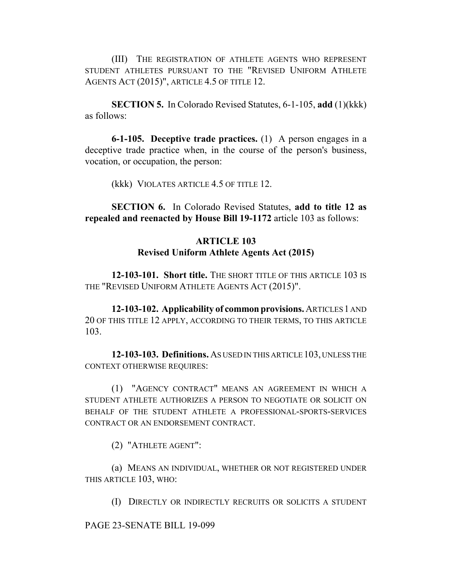(III) THE REGISTRATION OF ATHLETE AGENTS WHO REPRESENT STUDENT ATHLETES PURSUANT TO THE "REVISED UNIFORM ATHLETE AGENTS ACT (2015)", ARTICLE 4.5 OF TITLE 12.

**SECTION 5.** In Colorado Revised Statutes, 6-1-105, **add** (1)(kkk) as follows:

**6-1-105. Deceptive trade practices.** (1) A person engages in a deceptive trade practice when, in the course of the person's business, vocation, or occupation, the person:

(kkk) VIOLATES ARTICLE 4.5 OF TITLE 12.

**SECTION 6.** In Colorado Revised Statutes, **add to title 12 as repealed and reenacted by House Bill 19-1172** article 103 as follows:

## **ARTICLE 103 Revised Uniform Athlete Agents Act (2015)**

**12-103-101. Short title.** THE SHORT TITLE OF THIS ARTICLE 103 IS THE "REVISED UNIFORM ATHLETE AGENTS ACT (2015)".

**12-103-102. Applicability of common provisions.** ARTICLES 1 AND 20 OF THIS TITLE 12 APPLY, ACCORDING TO THEIR TERMS, TO THIS ARTICLE 103.

**12-103-103. Definitions.** AS USED IN THIS ARTICLE 103, UNLESS THE CONTEXT OTHERWISE REQUIRES:

(1) "AGENCY CONTRACT" MEANS AN AGREEMENT IN WHICH A STUDENT ATHLETE AUTHORIZES A PERSON TO NEGOTIATE OR SOLICIT ON BEHALF OF THE STUDENT ATHLETE A PROFESSIONAL-SPORTS-SERVICES CONTRACT OR AN ENDORSEMENT CONTRACT.

(2) "ATHLETE AGENT":

(a) MEANS AN INDIVIDUAL, WHETHER OR NOT REGISTERED UNDER THIS ARTICLE 103, WHO:

(I) DIRECTLY OR INDIRECTLY RECRUITS OR SOLICITS A STUDENT

PAGE 23-SENATE BILL 19-099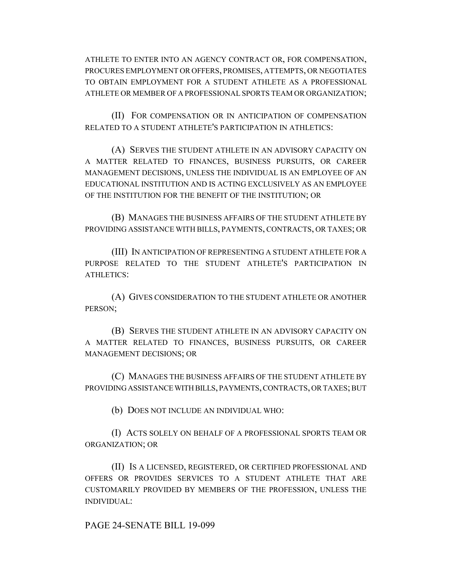ATHLETE TO ENTER INTO AN AGENCY CONTRACT OR, FOR COMPENSATION, PROCURES EMPLOYMENT OR OFFERS, PROMISES, ATTEMPTS, OR NEGOTIATES TO OBTAIN EMPLOYMENT FOR A STUDENT ATHLETE AS A PROFESSIONAL ATHLETE OR MEMBER OF A PROFESSIONAL SPORTS TEAM OR ORGANIZATION;

(II) FOR COMPENSATION OR IN ANTICIPATION OF COMPENSATION RELATED TO A STUDENT ATHLETE'S PARTICIPATION IN ATHLETICS:

(A) SERVES THE STUDENT ATHLETE IN AN ADVISORY CAPACITY ON A MATTER RELATED TO FINANCES, BUSINESS PURSUITS, OR CAREER MANAGEMENT DECISIONS, UNLESS THE INDIVIDUAL IS AN EMPLOYEE OF AN EDUCATIONAL INSTITUTION AND IS ACTING EXCLUSIVELY AS AN EMPLOYEE OF THE INSTITUTION FOR THE BENEFIT OF THE INSTITUTION; OR

(B) MANAGES THE BUSINESS AFFAIRS OF THE STUDENT ATHLETE BY PROVIDING ASSISTANCE WITH BILLS, PAYMENTS, CONTRACTS, OR TAXES; OR

(III) IN ANTICIPATION OF REPRESENTING A STUDENT ATHLETE FOR A PURPOSE RELATED TO THE STUDENT ATHLETE'S PARTICIPATION IN ATHLETICS:

(A) GIVES CONSIDERATION TO THE STUDENT ATHLETE OR ANOTHER PERSON;

(B) SERVES THE STUDENT ATHLETE IN AN ADVISORY CAPACITY ON A MATTER RELATED TO FINANCES, BUSINESS PURSUITS, OR CAREER MANAGEMENT DECISIONS; OR

(C) MANAGES THE BUSINESS AFFAIRS OF THE STUDENT ATHLETE BY PROVIDING ASSISTANCE WITH BILLS, PAYMENTS, CONTRACTS, OR TAXES; BUT

(b) DOES NOT INCLUDE AN INDIVIDUAL WHO:

(I) ACTS SOLELY ON BEHALF OF A PROFESSIONAL SPORTS TEAM OR ORGANIZATION; OR

(II) IS A LICENSED, REGISTERED, OR CERTIFIED PROFESSIONAL AND OFFERS OR PROVIDES SERVICES TO A STUDENT ATHLETE THAT ARE CUSTOMARILY PROVIDED BY MEMBERS OF THE PROFESSION, UNLESS THE INDIVIDUAL:

PAGE 24-SENATE BILL 19-099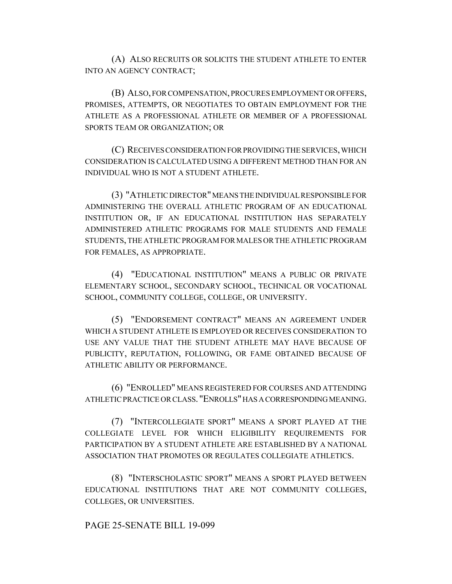(A) ALSO RECRUITS OR SOLICITS THE STUDENT ATHLETE TO ENTER INTO AN AGENCY CONTRACT;

(B) ALSO, FOR COMPENSATION, PROCURES EMPLOYMENT OR OFFERS, PROMISES, ATTEMPTS, OR NEGOTIATES TO OBTAIN EMPLOYMENT FOR THE ATHLETE AS A PROFESSIONAL ATHLETE OR MEMBER OF A PROFESSIONAL SPORTS TEAM OR ORGANIZATION; OR

(C) RECEIVES CONSIDERATION FOR PROVIDING THE SERVICES, WHICH CONSIDERATION IS CALCULATED USING A DIFFERENT METHOD THAN FOR AN INDIVIDUAL WHO IS NOT A STUDENT ATHLETE.

(3) "ATHLETIC DIRECTOR" MEANS THE INDIVIDUAL RESPONSIBLE FOR ADMINISTERING THE OVERALL ATHLETIC PROGRAM OF AN EDUCATIONAL INSTITUTION OR, IF AN EDUCATIONAL INSTITUTION HAS SEPARATELY ADMINISTERED ATHLETIC PROGRAMS FOR MALE STUDENTS AND FEMALE STUDENTS, THE ATHLETIC PROGRAM FOR MALES OR THE ATHLETIC PROGRAM FOR FEMALES, AS APPROPRIATE.

(4) "EDUCATIONAL INSTITUTION" MEANS A PUBLIC OR PRIVATE ELEMENTARY SCHOOL, SECONDARY SCHOOL, TECHNICAL OR VOCATIONAL SCHOOL, COMMUNITY COLLEGE, COLLEGE, OR UNIVERSITY.

(5) "ENDORSEMENT CONTRACT" MEANS AN AGREEMENT UNDER WHICH A STUDENT ATHLETE IS EMPLOYED OR RECEIVES CONSIDERATION TO USE ANY VALUE THAT THE STUDENT ATHLETE MAY HAVE BECAUSE OF PUBLICITY, REPUTATION, FOLLOWING, OR FAME OBTAINED BECAUSE OF ATHLETIC ABILITY OR PERFORMANCE.

(6) "ENROLLED" MEANS REGISTERED FOR COURSES AND ATTENDING ATHLETIC PRACTICE OR CLASS. "ENROLLS" HAS A CORRESPONDING MEANING.

(7) "INTERCOLLEGIATE SPORT" MEANS A SPORT PLAYED AT THE COLLEGIATE LEVEL FOR WHICH ELIGIBILITY REQUIREMENTS FOR PARTICIPATION BY A STUDENT ATHLETE ARE ESTABLISHED BY A NATIONAL ASSOCIATION THAT PROMOTES OR REGULATES COLLEGIATE ATHLETICS.

(8) "INTERSCHOLASTIC SPORT" MEANS A SPORT PLAYED BETWEEN EDUCATIONAL INSTITUTIONS THAT ARE NOT COMMUNITY COLLEGES, COLLEGES, OR UNIVERSITIES.

## PAGE 25-SENATE BILL 19-099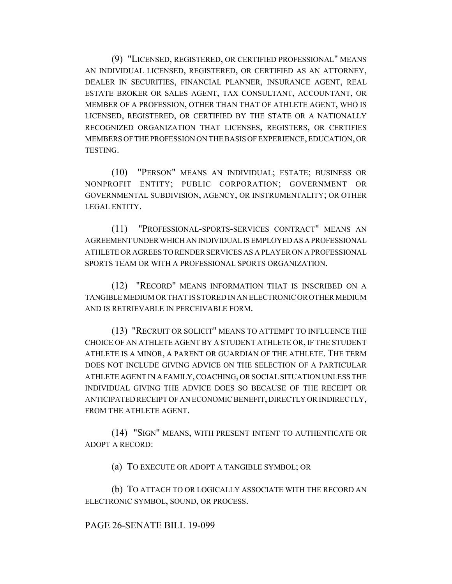(9) "LICENSED, REGISTERED, OR CERTIFIED PROFESSIONAL" MEANS AN INDIVIDUAL LICENSED, REGISTERED, OR CERTIFIED AS AN ATTORNEY, DEALER IN SECURITIES, FINANCIAL PLANNER, INSURANCE AGENT, REAL ESTATE BROKER OR SALES AGENT, TAX CONSULTANT, ACCOUNTANT, OR MEMBER OF A PROFESSION, OTHER THAN THAT OF ATHLETE AGENT, WHO IS LICENSED, REGISTERED, OR CERTIFIED BY THE STATE OR A NATIONALLY RECOGNIZED ORGANIZATION THAT LICENSES, REGISTERS, OR CERTIFIES MEMBERS OF THE PROFESSION ON THE BASIS OF EXPERIENCE, EDUCATION, OR TESTING.

(10) "PERSON" MEANS AN INDIVIDUAL; ESTATE; BUSINESS OR NONPROFIT ENTITY; PUBLIC CORPORATION; GOVERNMENT OR GOVERNMENTAL SUBDIVISION, AGENCY, OR INSTRUMENTALITY; OR OTHER LEGAL ENTITY.

(11) "PROFESSIONAL-SPORTS-SERVICES CONTRACT" MEANS AN AGREEMENT UNDER WHICH AN INDIVIDUAL IS EMPLOYED AS A PROFESSIONAL ATHLETE OR AGREES TO RENDER SERVICES AS A PLAYER ON A PROFESSIONAL SPORTS TEAM OR WITH A PROFESSIONAL SPORTS ORGANIZATION.

(12) "RECORD" MEANS INFORMATION THAT IS INSCRIBED ON A TANGIBLE MEDIUM OR THAT IS STORED IN AN ELECTRONIC OR OTHER MEDIUM AND IS RETRIEVABLE IN PERCEIVABLE FORM.

(13) "RECRUIT OR SOLICIT" MEANS TO ATTEMPT TO INFLUENCE THE CHOICE OF AN ATHLETE AGENT BY A STUDENT ATHLETE OR, IF THE STUDENT ATHLETE IS A MINOR, A PARENT OR GUARDIAN OF THE ATHLETE. THE TERM DOES NOT INCLUDE GIVING ADVICE ON THE SELECTION OF A PARTICULAR ATHLETE AGENT IN A FAMILY, COACHING, OR SOCIAL SITUATION UNLESS THE INDIVIDUAL GIVING THE ADVICE DOES SO BECAUSE OF THE RECEIPT OR ANTICIPATED RECEIPT OF AN ECONOMIC BENEFIT, DIRECTLY OR INDIRECTLY, FROM THE ATHLETE AGENT.

(14) "SIGN" MEANS, WITH PRESENT INTENT TO AUTHENTICATE OR ADOPT A RECORD:

(a) TO EXECUTE OR ADOPT A TANGIBLE SYMBOL; OR

(b) TO ATTACH TO OR LOGICALLY ASSOCIATE WITH THE RECORD AN ELECTRONIC SYMBOL, SOUND, OR PROCESS.

## PAGE 26-SENATE BILL 19-099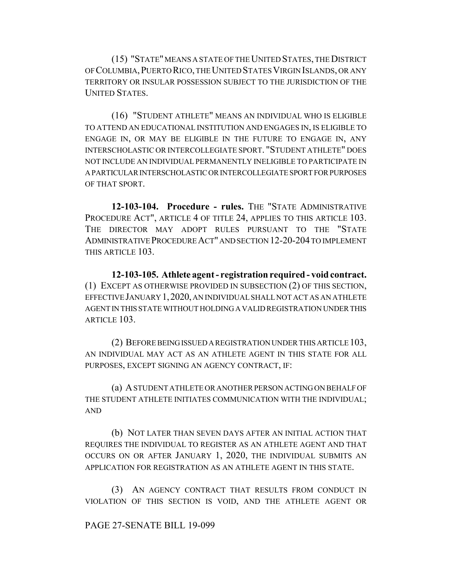(15) "STATE" MEANS A STATE OF THE UNITED STATES, THE DISTRICT OF COLUMBIA,PUERTO RICO, THE UNITED STATES VIRGIN ISLANDS, OR ANY TERRITORY OR INSULAR POSSESSION SUBJECT TO THE JURISDICTION OF THE UNITED STATES.

(16) "STUDENT ATHLETE" MEANS AN INDIVIDUAL WHO IS ELIGIBLE TO ATTEND AN EDUCATIONAL INSTITUTION AND ENGAGES IN, IS ELIGIBLE TO ENGAGE IN, OR MAY BE ELIGIBLE IN THE FUTURE TO ENGAGE IN, ANY INTERSCHOLASTIC OR INTERCOLLEGIATE SPORT. "STUDENT ATHLETE" DOES NOT INCLUDE AN INDIVIDUAL PERMANENTLY INELIGIBLE TO PARTICIPATE IN A PARTICULAR INTERSCHOLASTIC OR INTERCOLLEGIATE SPORT FOR PURPOSES OF THAT SPORT.

**12-103-104. Procedure - rules.** THE "STATE ADMINISTRATIVE PROCEDURE ACT", ARTICLE 4 OF TITLE 24, APPLIES TO THIS ARTICLE 103. THE DIRECTOR MAY ADOPT RULES PURSUANT TO THE "STATE ADMINISTRATIVE PROCEDURE ACT" AND SECTION 12-20-204 TO IMPLEMENT THIS ARTICLE 103.

**12-103-105. Athlete agent - registration required - void contract.** (1) EXCEPT AS OTHERWISE PROVIDED IN SUBSECTION (2) OF THIS SECTION, EFFECTIVE JANUARY 1,2020, AN INDIVIDUAL SHALL NOT ACT AS AN ATHLETE AGENT IN THIS STATE WITHOUT HOLDING A VALID REGISTRATION UNDER THIS ARTICLE 103.

(2) BEFORE BEING ISSUED A REGISTRATION UNDER THIS ARTICLE 103, AN INDIVIDUAL MAY ACT AS AN ATHLETE AGENT IN THIS STATE FOR ALL PURPOSES, EXCEPT SIGNING AN AGENCY CONTRACT, IF:

(a) A STUDENT ATHLETE OR ANOTHER PERSON ACTING ON BEHALF OF THE STUDENT ATHLETE INITIATES COMMUNICATION WITH THE INDIVIDUAL; AND

(b) NOT LATER THAN SEVEN DAYS AFTER AN INITIAL ACTION THAT REQUIRES THE INDIVIDUAL TO REGISTER AS AN ATHLETE AGENT AND THAT OCCURS ON OR AFTER JANUARY 1, 2020, THE INDIVIDUAL SUBMITS AN APPLICATION FOR REGISTRATION AS AN ATHLETE AGENT IN THIS STATE.

(3) AN AGENCY CONTRACT THAT RESULTS FROM CONDUCT IN VIOLATION OF THIS SECTION IS VOID, AND THE ATHLETE AGENT OR

## PAGE 27-SENATE BILL 19-099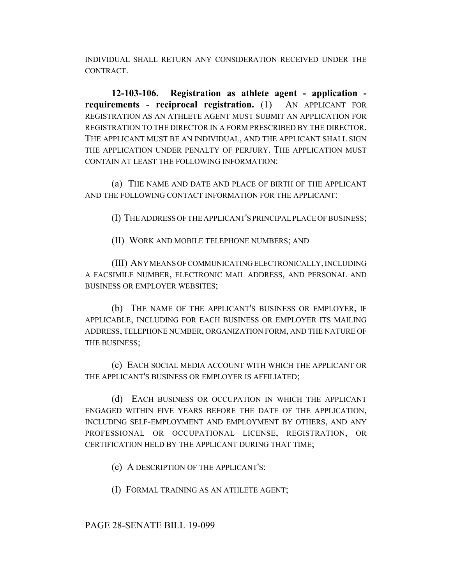INDIVIDUAL SHALL RETURN ANY CONSIDERATION RECEIVED UNDER THE CONTRACT.

**12-103-106. Registration as athlete agent - application requirements - reciprocal registration.** (1) AN APPLICANT FOR REGISTRATION AS AN ATHLETE AGENT MUST SUBMIT AN APPLICATION FOR REGISTRATION TO THE DIRECTOR IN A FORM PRESCRIBED BY THE DIRECTOR. THE APPLICANT MUST BE AN INDIVIDUAL, AND THE APPLICANT SHALL SIGN THE APPLICATION UNDER PENALTY OF PERJURY. THE APPLICATION MUST CONTAIN AT LEAST THE FOLLOWING INFORMATION:

(a) THE NAME AND DATE AND PLACE OF BIRTH OF THE APPLICANT AND THE FOLLOWING CONTACT INFORMATION FOR THE APPLICANT:

(I) THE ADDRESS OF THE APPLICANT'S PRINCIPAL PLACE OF BUSINESS;

(II) WORK AND MOBILE TELEPHONE NUMBERS; AND

(III) ANY MEANS OF COMMUNICATING ELECTRONICALLY, INCLUDING A FACSIMILE NUMBER, ELECTRONIC MAIL ADDRESS, AND PERSONAL AND BUSINESS OR EMPLOYER WEBSITES;

(b) THE NAME OF THE APPLICANT'S BUSINESS OR EMPLOYER, IF APPLICABLE, INCLUDING FOR EACH BUSINESS OR EMPLOYER ITS MAILING ADDRESS, TELEPHONE NUMBER, ORGANIZATION FORM, AND THE NATURE OF THE BUSINESS;

(c) EACH SOCIAL MEDIA ACCOUNT WITH WHICH THE APPLICANT OR THE APPLICANT'S BUSINESS OR EMPLOYER IS AFFILIATED;

(d) EACH BUSINESS OR OCCUPATION IN WHICH THE APPLICANT ENGAGED WITHIN FIVE YEARS BEFORE THE DATE OF THE APPLICATION, INCLUDING SELF-EMPLOYMENT AND EMPLOYMENT BY OTHERS, AND ANY PROFESSIONAL OR OCCUPATIONAL LICENSE, REGISTRATION, OR CERTIFICATION HELD BY THE APPLICANT DURING THAT TIME;

(e) A DESCRIPTION OF THE APPLICANT'S:

(I) FORMAL TRAINING AS AN ATHLETE AGENT;

PAGE 28-SENATE BILL 19-099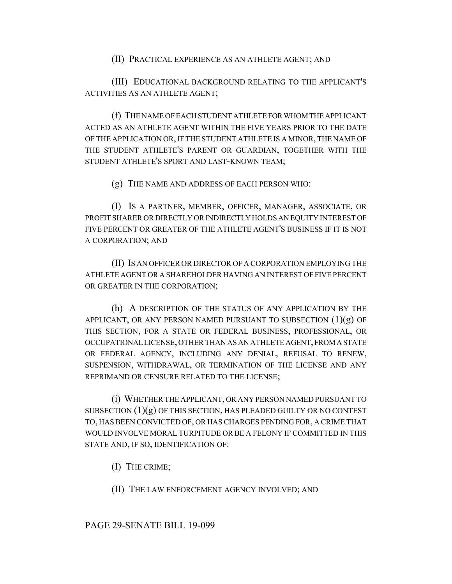## (II) PRACTICAL EXPERIENCE AS AN ATHLETE AGENT; AND

(III) EDUCATIONAL BACKGROUND RELATING TO THE APPLICANT'S ACTIVITIES AS AN ATHLETE AGENT;

(f) THE NAME OF EACH STUDENT ATHLETE FOR WHOM THE APPLICANT ACTED AS AN ATHLETE AGENT WITHIN THE FIVE YEARS PRIOR TO THE DATE OF THE APPLICATION OR, IF THE STUDENT ATHLETE IS A MINOR, THE NAME OF THE STUDENT ATHLETE'S PARENT OR GUARDIAN, TOGETHER WITH THE STUDENT ATHLETE'S SPORT AND LAST-KNOWN TEAM;

(g) THE NAME AND ADDRESS OF EACH PERSON WHO:

(I) IS A PARTNER, MEMBER, OFFICER, MANAGER, ASSOCIATE, OR PROFIT SHARER OR DIRECTLY OR INDIRECTLY HOLDS AN EQUITY INTEREST OF FIVE PERCENT OR GREATER OF THE ATHLETE AGENT'S BUSINESS IF IT IS NOT A CORPORATION; AND

(II) IS AN OFFICER OR DIRECTOR OF A CORPORATION EMPLOYING THE ATHLETE AGENT OR A SHAREHOLDER HAVING AN INTEREST OF FIVE PERCENT OR GREATER IN THE CORPORATION;

(h) A DESCRIPTION OF THE STATUS OF ANY APPLICATION BY THE APPLICANT, OR ANY PERSON NAMED PURSUANT TO SUBSECTION  $(1)(g)$  OF THIS SECTION, FOR A STATE OR FEDERAL BUSINESS, PROFESSIONAL, OR OCCUPATIONAL LICENSE, OTHER THAN AS AN ATHLETE AGENT, FROM A STATE OR FEDERAL AGENCY, INCLUDING ANY DENIAL, REFUSAL TO RENEW, SUSPENSION, WITHDRAWAL, OR TERMINATION OF THE LICENSE AND ANY REPRIMAND OR CENSURE RELATED TO THE LICENSE;

(i) WHETHER THE APPLICANT, OR ANY PERSON NAMED PURSUANT TO SUBSECTION  $(1)(g)$  OF THIS SECTION, HAS PLEADED GUILTY OR NO CONTEST TO, HAS BEEN CONVICTED OF, OR HAS CHARGES PENDING FOR, A CRIME THAT WOULD INVOLVE MORAL TURPITUDE OR BE A FELONY IF COMMITTED IN THIS STATE AND, IF SO, IDENTIFICATION OF:

(I) THE CRIME;

(II) THE LAW ENFORCEMENT AGENCY INVOLVED; AND

## PAGE 29-SENATE BILL 19-099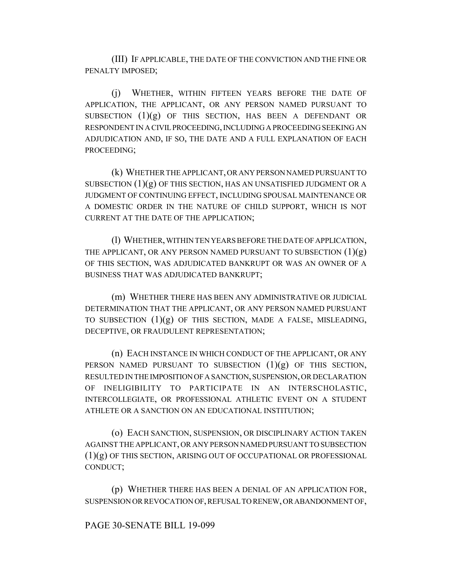(III) IF APPLICABLE, THE DATE OF THE CONVICTION AND THE FINE OR PENALTY IMPOSED;

(j) WHETHER, WITHIN FIFTEEN YEARS BEFORE THE DATE OF APPLICATION, THE APPLICANT, OR ANY PERSON NAMED PURSUANT TO SUBSECTION  $(1)(g)$  OF THIS SECTION, HAS BEEN A DEFENDANT OR RESPONDENT IN A CIVIL PROCEEDING, INCLUDING A PROCEEDING SEEKING AN ADJUDICATION AND, IF SO, THE DATE AND A FULL EXPLANATION OF EACH PROCEEDING;

(k) WHETHER THE APPLICANT, OR ANY PERSON NAMED PURSUANT TO SUBSECTION  $(1)(g)$  OF THIS SECTION, HAS AN UNSATISFIED JUDGMENT OR A JUDGMENT OF CONTINUING EFFECT, INCLUDING SPOUSAL MAINTENANCE OR A DOMESTIC ORDER IN THE NATURE OF CHILD SUPPORT, WHICH IS NOT CURRENT AT THE DATE OF THE APPLICATION;

(l) WHETHER, WITHIN TEN YEARS BEFORE THE DATE OF APPLICATION, THE APPLICANT, OR ANY PERSON NAMED PURSUANT TO SUBSECTION  $(1)(g)$ OF THIS SECTION, WAS ADJUDICATED BANKRUPT OR WAS AN OWNER OF A BUSINESS THAT WAS ADJUDICATED BANKRUPT;

(m) WHETHER THERE HAS BEEN ANY ADMINISTRATIVE OR JUDICIAL DETERMINATION THAT THE APPLICANT, OR ANY PERSON NAMED PURSUANT TO SUBSECTION  $(1)(g)$  OF THIS SECTION, MADE A FALSE, MISLEADING, DECEPTIVE, OR FRAUDULENT REPRESENTATION;

(n) EACH INSTANCE IN WHICH CONDUCT OF THE APPLICANT, OR ANY PERSON NAMED PURSUANT TO SUBSECTION  $(1)(g)$  OF THIS SECTION, RESULTED IN THE IMPOSITION OF A SANCTION, SUSPENSION, OR DECLARATION OF INELIGIBILITY TO PARTICIPATE IN AN INTERSCHOLASTIC, INTERCOLLEGIATE, OR PROFESSIONAL ATHLETIC EVENT ON A STUDENT ATHLETE OR A SANCTION ON AN EDUCATIONAL INSTITUTION;

(o) EACH SANCTION, SUSPENSION, OR DISCIPLINARY ACTION TAKEN AGAINST THE APPLICANT, OR ANY PERSON NAMED PURSUANT TO SUBSECTION (1)(g) OF THIS SECTION, ARISING OUT OF OCCUPATIONAL OR PROFESSIONAL CONDUCT;

(p) WHETHER THERE HAS BEEN A DENIAL OF AN APPLICATION FOR, SUSPENSION OR REVOCATION OF, REFUSAL TO RENEW, OR ABANDONMENT OF,

## PAGE 30-SENATE BILL 19-099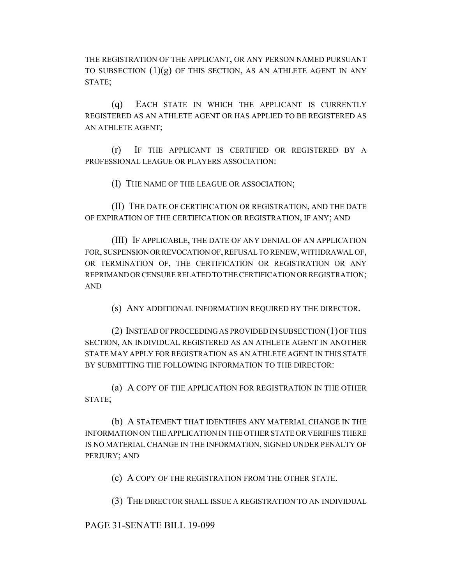THE REGISTRATION OF THE APPLICANT, OR ANY PERSON NAMED PURSUANT TO SUBSECTION  $(1)(g)$  OF THIS SECTION, AS AN ATHLETE AGENT IN ANY STATE;

(q) EACH STATE IN WHICH THE APPLICANT IS CURRENTLY REGISTERED AS AN ATHLETE AGENT OR HAS APPLIED TO BE REGISTERED AS AN ATHLETE AGENT;

(r) IF THE APPLICANT IS CERTIFIED OR REGISTERED BY A PROFESSIONAL LEAGUE OR PLAYERS ASSOCIATION:

(I) THE NAME OF THE LEAGUE OR ASSOCIATION;

(II) THE DATE OF CERTIFICATION OR REGISTRATION, AND THE DATE OF EXPIRATION OF THE CERTIFICATION OR REGISTRATION, IF ANY; AND

(III) IF APPLICABLE, THE DATE OF ANY DENIAL OF AN APPLICATION FOR, SUSPENSION OR REVOCATION OF, REFUSAL TO RENEW, WITHDRAWAL OF, OR TERMINATION OF, THE CERTIFICATION OR REGISTRATION OR ANY REPRIMAND OR CENSURE RELATED TO THE CERTIFICATION OR REGISTRATION; AND

(s) ANY ADDITIONAL INFORMATION REQUIRED BY THE DIRECTOR.

(2) INSTEAD OF PROCEEDING AS PROVIDED IN SUBSECTION (1) OF THIS SECTION, AN INDIVIDUAL REGISTERED AS AN ATHLETE AGENT IN ANOTHER STATE MAY APPLY FOR REGISTRATION AS AN ATHLETE AGENT IN THIS STATE BY SUBMITTING THE FOLLOWING INFORMATION TO THE DIRECTOR:

(a) A COPY OF THE APPLICATION FOR REGISTRATION IN THE OTHER STATE;

(b) A STATEMENT THAT IDENTIFIES ANY MATERIAL CHANGE IN THE INFORMATION ON THE APPLICATION IN THE OTHER STATE OR VERIFIES THERE IS NO MATERIAL CHANGE IN THE INFORMATION, SIGNED UNDER PENALTY OF PERJURY; AND

(c) A COPY OF THE REGISTRATION FROM THE OTHER STATE.

(3) THE DIRECTOR SHALL ISSUE A REGISTRATION TO AN INDIVIDUAL

PAGE 31-SENATE BILL 19-099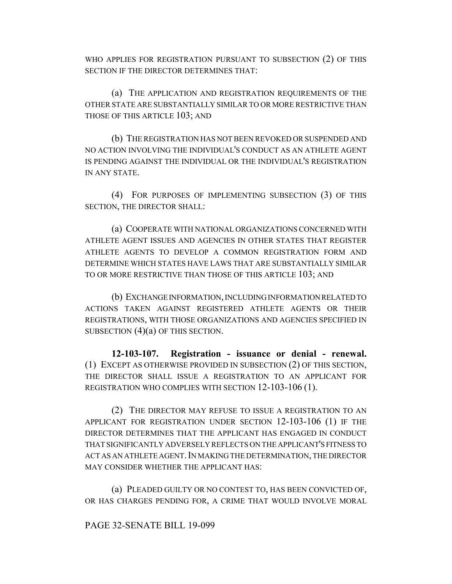WHO APPLIES FOR REGISTRATION PURSUANT TO SUBSECTION (2) OF THIS SECTION IF THE DIRECTOR DETERMINES THAT:

(a) THE APPLICATION AND REGISTRATION REQUIREMENTS OF THE OTHER STATE ARE SUBSTANTIALLY SIMILAR TO OR MORE RESTRICTIVE THAN THOSE OF THIS ARTICLE 103; AND

(b) THE REGISTRATION HAS NOT BEEN REVOKED OR SUSPENDED AND NO ACTION INVOLVING THE INDIVIDUAL'S CONDUCT AS AN ATHLETE AGENT IS PENDING AGAINST THE INDIVIDUAL OR THE INDIVIDUAL'S REGISTRATION IN ANY STATE.

(4) FOR PURPOSES OF IMPLEMENTING SUBSECTION (3) OF THIS SECTION, THE DIRECTOR SHALL:

(a) COOPERATE WITH NATIONAL ORGANIZATIONS CONCERNED WITH ATHLETE AGENT ISSUES AND AGENCIES IN OTHER STATES THAT REGISTER ATHLETE AGENTS TO DEVELOP A COMMON REGISTRATION FORM AND DETERMINE WHICH STATES HAVE LAWS THAT ARE SUBSTANTIALLY SIMILAR TO OR MORE RESTRICTIVE THAN THOSE OF THIS ARTICLE 103; AND

(b) EXCHANGE INFORMATION, INCLUDING INFORMATION RELATED TO ACTIONS TAKEN AGAINST REGISTERED ATHLETE AGENTS OR THEIR REGISTRATIONS, WITH THOSE ORGANIZATIONS AND AGENCIES SPECIFIED IN SUBSECTION  $(4)(a)$  OF THIS SECTION.

**12-103-107. Registration - issuance or denial - renewal.** (1) EXCEPT AS OTHERWISE PROVIDED IN SUBSECTION (2) OF THIS SECTION, THE DIRECTOR SHALL ISSUE A REGISTRATION TO AN APPLICANT FOR REGISTRATION WHO COMPLIES WITH SECTION 12-103-106 (1).

(2) THE DIRECTOR MAY REFUSE TO ISSUE A REGISTRATION TO AN APPLICANT FOR REGISTRATION UNDER SECTION 12-103-106 (1) IF THE DIRECTOR DETERMINES THAT THE APPLICANT HAS ENGAGED IN CONDUCT THAT SIGNIFICANTLY ADVERSELY REFLECTS ON THE APPLICANT'S FITNESS TO ACT AS AN ATHLETE AGENT. IN MAKING THE DETERMINATION, THE DIRECTOR MAY CONSIDER WHETHER THE APPLICANT HAS:

(a) PLEADED GUILTY OR NO CONTEST TO, HAS BEEN CONVICTED OF, OR HAS CHARGES PENDING FOR, A CRIME THAT WOULD INVOLVE MORAL

#### PAGE 32-SENATE BILL 19-099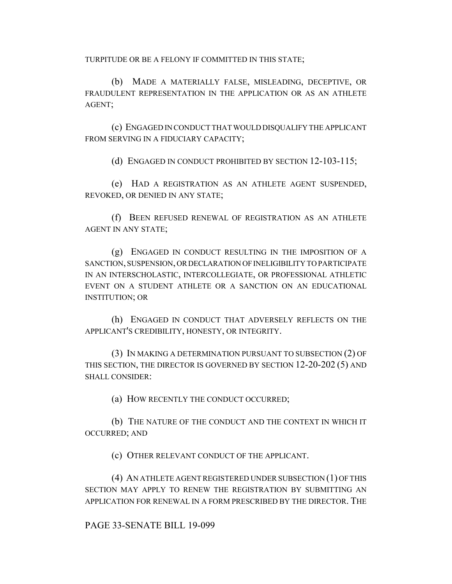TURPITUDE OR BE A FELONY IF COMMITTED IN THIS STATE;

(b) MADE A MATERIALLY FALSE, MISLEADING, DECEPTIVE, OR FRAUDULENT REPRESENTATION IN THE APPLICATION OR AS AN ATHLETE AGENT;

(c) ENGAGED IN CONDUCT THAT WOULD DISQUALIFY THE APPLICANT FROM SERVING IN A FIDUCIARY CAPACITY;

(d) ENGAGED IN CONDUCT PROHIBITED BY SECTION 12-103-115;

(e) HAD A REGISTRATION AS AN ATHLETE AGENT SUSPENDED, REVOKED, OR DENIED IN ANY STATE;

(f) BEEN REFUSED RENEWAL OF REGISTRATION AS AN ATHLETE AGENT IN ANY STATE;

(g) ENGAGED IN CONDUCT RESULTING IN THE IMPOSITION OF A SANCTION, SUSPENSION, OR DECLARATION OF INELIGIBILITY TO PARTICIPATE IN AN INTERSCHOLASTIC, INTERCOLLEGIATE, OR PROFESSIONAL ATHLETIC EVENT ON A STUDENT ATHLETE OR A SANCTION ON AN EDUCATIONAL INSTITUTION; OR

(h) ENGAGED IN CONDUCT THAT ADVERSELY REFLECTS ON THE APPLICANT'S CREDIBILITY, HONESTY, OR INTEGRITY.

(3) IN MAKING A DETERMINATION PURSUANT TO SUBSECTION (2) OF THIS SECTION, THE DIRECTOR IS GOVERNED BY SECTION 12-20-202 (5) AND SHALL CONSIDER:

(a) HOW RECENTLY THE CONDUCT OCCURRED;

(b) THE NATURE OF THE CONDUCT AND THE CONTEXT IN WHICH IT OCCURRED; AND

(c) OTHER RELEVANT CONDUCT OF THE APPLICANT.

(4) AN ATHLETE AGENT REGISTERED UNDER SUBSECTION (1) OF THIS SECTION MAY APPLY TO RENEW THE REGISTRATION BY SUBMITTING AN APPLICATION FOR RENEWAL IN A FORM PRESCRIBED BY THE DIRECTOR. THE

PAGE 33-SENATE BILL 19-099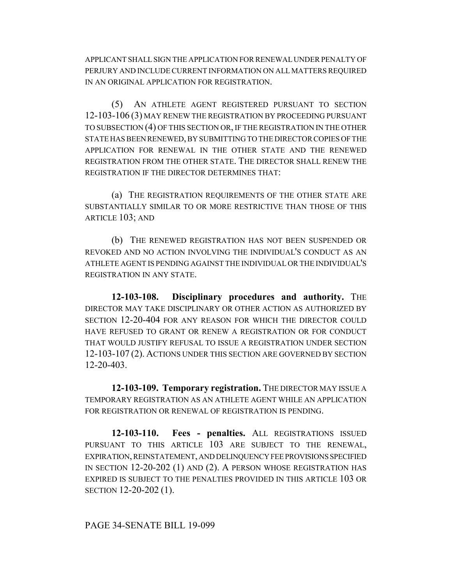APPLICANT SHALL SIGN THE APPLICATION FOR RENEWAL UNDER PENALTY OF PERJURY AND INCLUDE CURRENT INFORMATION ON ALL MATTERS REQUIRED IN AN ORIGINAL APPLICATION FOR REGISTRATION.

(5) AN ATHLETE AGENT REGISTERED PURSUANT TO SECTION 12-103-106 (3) MAY RENEW THE REGISTRATION BY PROCEEDING PURSUANT TO SUBSECTION (4) OF THIS SECTION OR, IF THE REGISTRATION IN THE OTHER STATE HAS BEEN RENEWED, BY SUBMITTING TO THE DIRECTOR COPIES OF THE APPLICATION FOR RENEWAL IN THE OTHER STATE AND THE RENEWED REGISTRATION FROM THE OTHER STATE. THE DIRECTOR SHALL RENEW THE REGISTRATION IF THE DIRECTOR DETERMINES THAT:

(a) THE REGISTRATION REQUIREMENTS OF THE OTHER STATE ARE SUBSTANTIALLY SIMILAR TO OR MORE RESTRICTIVE THAN THOSE OF THIS ARTICLE 103; AND

(b) THE RENEWED REGISTRATION HAS NOT BEEN SUSPENDED OR REVOKED AND NO ACTION INVOLVING THE INDIVIDUAL'S CONDUCT AS AN ATHLETE AGENT IS PENDING AGAINST THE INDIVIDUAL OR THE INDIVIDUAL'S REGISTRATION IN ANY STATE.

**12-103-108. Disciplinary procedures and authority.** THE DIRECTOR MAY TAKE DISCIPLINARY OR OTHER ACTION AS AUTHORIZED BY SECTION 12-20-404 FOR ANY REASON FOR WHICH THE DIRECTOR COULD HAVE REFUSED TO GRANT OR RENEW A REGISTRATION OR FOR CONDUCT THAT WOULD JUSTIFY REFUSAL TO ISSUE A REGISTRATION UNDER SECTION 12-103-107 (2). ACTIONS UNDER THIS SECTION ARE GOVERNED BY SECTION 12-20-403.

**12-103-109. Temporary registration.** THE DIRECTOR MAY ISSUE A TEMPORARY REGISTRATION AS AN ATHLETE AGENT WHILE AN APPLICATION FOR REGISTRATION OR RENEWAL OF REGISTRATION IS PENDING.

**12-103-110. Fees - penalties.** ALL REGISTRATIONS ISSUED PURSUANT TO THIS ARTICLE 103 ARE SUBJECT TO THE RENEWAL, EXPIRATION, REINSTATEMENT, AND DELINQUENCY FEE PROVISIONS SPECIFIED IN SECTION 12-20-202 (1) AND (2). A PERSON WHOSE REGISTRATION HAS EXPIRED IS SUBJECT TO THE PENALTIES PROVIDED IN THIS ARTICLE 103 OR SECTION 12-20-202 (1).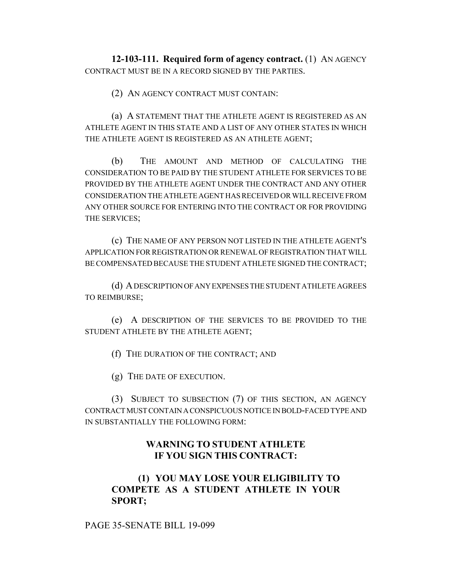**12-103-111. Required form of agency contract.** (1) AN AGENCY CONTRACT MUST BE IN A RECORD SIGNED BY THE PARTIES.

(2) AN AGENCY CONTRACT MUST CONTAIN:

(a) A STATEMENT THAT THE ATHLETE AGENT IS REGISTERED AS AN ATHLETE AGENT IN THIS STATE AND A LIST OF ANY OTHER STATES IN WHICH THE ATHLETE AGENT IS REGISTERED AS AN ATHLETE AGENT;

(b) THE AMOUNT AND METHOD OF CALCULATING THE CONSIDERATION TO BE PAID BY THE STUDENT ATHLETE FOR SERVICES TO BE PROVIDED BY THE ATHLETE AGENT UNDER THE CONTRACT AND ANY OTHER CONSIDERATION THE ATHLETE AGENT HAS RECEIVED OR WILL RECEIVE FROM ANY OTHER SOURCE FOR ENTERING INTO THE CONTRACT OR FOR PROVIDING THE SERVICES;

(c) THE NAME OF ANY PERSON NOT LISTED IN THE ATHLETE AGENT'S APPLICATION FOR REGISTRATION OR RENEWAL OF REGISTRATION THAT WILL BE COMPENSATED BECAUSE THE STUDENT ATHLETE SIGNED THE CONTRACT;

(d) A DESCRIPTION OF ANY EXPENSES THE STUDENT ATHLETE AGREES TO REIMBURSE;

(e) A DESCRIPTION OF THE SERVICES TO BE PROVIDED TO THE STUDENT ATHLETE BY THE ATHLETE AGENT;

(f) THE DURATION OF THE CONTRACT; AND

(g) THE DATE OF EXECUTION.

(3) SUBJECT TO SUBSECTION (7) OF THIS SECTION, AN AGENCY CONTRACT MUST CONTAIN A CONSPICUOUS NOTICE IN BOLD-FACED TYPE AND IN SUBSTANTIALLY THE FOLLOWING FORM:

# **WARNING TO STUDENT ATHLETE IF YOU SIGN THIS CONTRACT:**

# **(1) YOU MAY LOSE YOUR ELIGIBILITY TO COMPETE AS A STUDENT ATHLETE IN YOUR SPORT;**

PAGE 35-SENATE BILL 19-099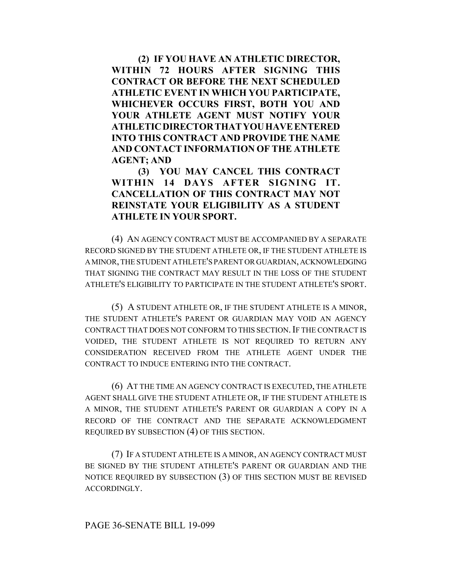**(2) IF YOU HAVE AN ATHLETIC DIRECTOR, WITHIN 72 HOURS AFTER SIGNING THIS CONTRACT OR BEFORE THE NEXT SCHEDULED ATHLETIC EVENT IN WHICH YOU PARTICIPATE, WHICHEVER OCCURS FIRST, BOTH YOU AND YOUR ATHLETE AGENT MUST NOTIFY YOUR ATHLETICDIRECTORTHATYOUHAVEENTERED INTO THIS CONTRACT AND PROVIDE THE NAME AND CONTACT INFORMATION OF THE ATHLETE AGENT; AND**

**(3) YOU MAY CANCEL THIS CONTRACT WITHIN 14 DAYS AFTER SIGNING IT. CANCELLATION OF THIS CONTRACT MAY NOT REINSTATE YOUR ELIGIBILITY AS A STUDENT ATHLETE IN YOUR SPORT.**

(4) AN AGENCY CONTRACT MUST BE ACCOMPANIED BY A SEPARATE RECORD SIGNED BY THE STUDENT ATHLETE OR, IF THE STUDENT ATHLETE IS A MINOR, THE STUDENT ATHLETE'S PARENT OR GUARDIAN, ACKNOWLEDGING THAT SIGNING THE CONTRACT MAY RESULT IN THE LOSS OF THE STUDENT ATHLETE'S ELIGIBILITY TO PARTICIPATE IN THE STUDENT ATHLETE'S SPORT.

(5) A STUDENT ATHLETE OR, IF THE STUDENT ATHLETE IS A MINOR, THE STUDENT ATHLETE'S PARENT OR GUARDIAN MAY VOID AN AGENCY CONTRACT THAT DOES NOT CONFORM TO THIS SECTION. IF THE CONTRACT IS VOIDED, THE STUDENT ATHLETE IS NOT REQUIRED TO RETURN ANY CONSIDERATION RECEIVED FROM THE ATHLETE AGENT UNDER THE CONTRACT TO INDUCE ENTERING INTO THE CONTRACT.

(6) AT THE TIME AN AGENCY CONTRACT IS EXECUTED, THE ATHLETE AGENT SHALL GIVE THE STUDENT ATHLETE OR, IF THE STUDENT ATHLETE IS A MINOR, THE STUDENT ATHLETE'S PARENT OR GUARDIAN A COPY IN A RECORD OF THE CONTRACT AND THE SEPARATE ACKNOWLEDGMENT REQUIRED BY SUBSECTION (4) OF THIS SECTION.

(7) IF A STUDENT ATHLETE IS A MINOR, AN AGENCY CONTRACT MUST BE SIGNED BY THE STUDENT ATHLETE'S PARENT OR GUARDIAN AND THE NOTICE REQUIRED BY SUBSECTION (3) OF THIS SECTION MUST BE REVISED ACCORDINGLY.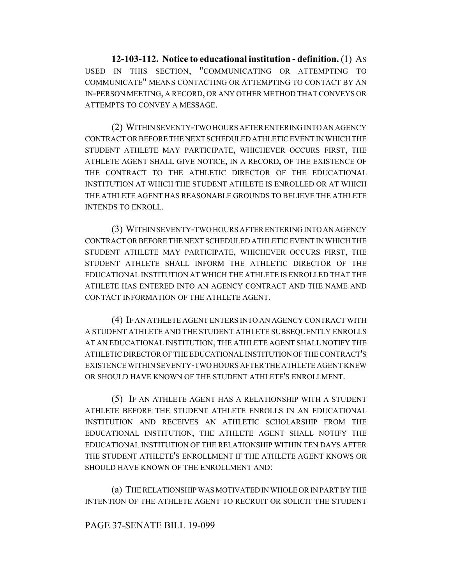**12-103-112. Notice to educational institution - definition.** (1) AS USED IN THIS SECTION, "COMMUNICATING OR ATTEMPTING TO COMMUNICATE" MEANS CONTACTING OR ATTEMPTING TO CONTACT BY AN IN-PERSON MEETING, A RECORD, OR ANY OTHER METHOD THAT CONVEYS OR ATTEMPTS TO CONVEY A MESSAGE.

(2) WITHIN SEVENTY-TWO HOURS AFTER ENTERING INTO AN AGENCY CONTRACT OR BEFORE THE NEXT SCHEDULED ATHLETIC EVENT IN WHICH THE STUDENT ATHLETE MAY PARTICIPATE, WHICHEVER OCCURS FIRST, THE ATHLETE AGENT SHALL GIVE NOTICE, IN A RECORD, OF THE EXISTENCE OF THE CONTRACT TO THE ATHLETIC DIRECTOR OF THE EDUCATIONAL INSTITUTION AT WHICH THE STUDENT ATHLETE IS ENROLLED OR AT WHICH THE ATHLETE AGENT HAS REASONABLE GROUNDS TO BELIEVE THE ATHLETE INTENDS TO ENROLL.

(3) WITHIN SEVENTY-TWO HOURS AFTER ENTERING INTO AN AGENCY CONTRACT OR BEFORE THE NEXT SCHEDULED ATHLETIC EVENT IN WHICH THE STUDENT ATHLETE MAY PARTICIPATE, WHICHEVER OCCURS FIRST, THE STUDENT ATHLETE SHALL INFORM THE ATHLETIC DIRECTOR OF THE EDUCATIONAL INSTITUTION AT WHICH THE ATHLETE IS ENROLLED THAT THE ATHLETE HAS ENTERED INTO AN AGENCY CONTRACT AND THE NAME AND CONTACT INFORMATION OF THE ATHLETE AGENT.

(4) IF AN ATHLETE AGENT ENTERS INTO AN AGENCY CONTRACT WITH A STUDENT ATHLETE AND THE STUDENT ATHLETE SUBSEQUENTLY ENROLLS AT AN EDUCATIONAL INSTITUTION, THE ATHLETE AGENT SHALL NOTIFY THE ATHLETIC DIRECTOR OF THE EDUCATIONAL INSTITUTION OF THE CONTRACT'S EXISTENCE WITHIN SEVENTY-TWO HOURS AFTER THE ATHLETE AGENT KNEW OR SHOULD HAVE KNOWN OF THE STUDENT ATHLETE'S ENROLLMENT.

(5) IF AN ATHLETE AGENT HAS A RELATIONSHIP WITH A STUDENT ATHLETE BEFORE THE STUDENT ATHLETE ENROLLS IN AN EDUCATIONAL INSTITUTION AND RECEIVES AN ATHLETIC SCHOLARSHIP FROM THE EDUCATIONAL INSTITUTION, THE ATHLETE AGENT SHALL NOTIFY THE EDUCATIONAL INSTITUTION OF THE RELATIONSHIP WITHIN TEN DAYS AFTER THE STUDENT ATHLETE'S ENROLLMENT IF THE ATHLETE AGENT KNOWS OR SHOULD HAVE KNOWN OF THE ENROLLMENT AND:

(a) THE RELATIONSHIP WAS MOTIVATED IN WHOLE OR IN PART BY THE INTENTION OF THE ATHLETE AGENT TO RECRUIT OR SOLICIT THE STUDENT

#### PAGE 37-SENATE BILL 19-099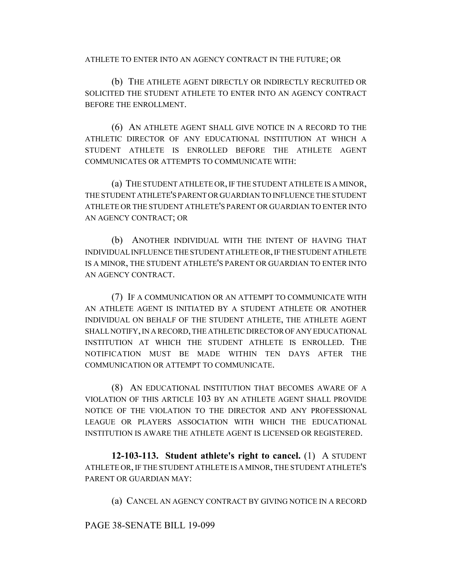ATHLETE TO ENTER INTO AN AGENCY CONTRACT IN THE FUTURE; OR

(b) THE ATHLETE AGENT DIRECTLY OR INDIRECTLY RECRUITED OR SOLICITED THE STUDENT ATHLETE TO ENTER INTO AN AGENCY CONTRACT BEFORE THE ENROLLMENT.

(6) AN ATHLETE AGENT SHALL GIVE NOTICE IN A RECORD TO THE ATHLETIC DIRECTOR OF ANY EDUCATIONAL INSTITUTION AT WHICH A STUDENT ATHLETE IS ENROLLED BEFORE THE ATHLETE AGENT COMMUNICATES OR ATTEMPTS TO COMMUNICATE WITH:

(a) THE STUDENT ATHLETE OR, IF THE STUDENT ATHLETE IS A MINOR, THE STUDENT ATHLETE'S PARENT OR GUARDIAN TO INFLUENCE THE STUDENT ATHLETE OR THE STUDENT ATHLETE'S PARENT OR GUARDIAN TO ENTER INTO AN AGENCY CONTRACT; OR

(b) ANOTHER INDIVIDUAL WITH THE INTENT OF HAVING THAT INDIVIDUAL INFLUENCE THE STUDENT ATHLETE OR, IF THE STUDENT ATHLETE IS A MINOR, THE STUDENT ATHLETE'S PARENT OR GUARDIAN TO ENTER INTO AN AGENCY CONTRACT.

(7) IF A COMMUNICATION OR AN ATTEMPT TO COMMUNICATE WITH AN ATHLETE AGENT IS INITIATED BY A STUDENT ATHLETE OR ANOTHER INDIVIDUAL ON BEHALF OF THE STUDENT ATHLETE, THE ATHLETE AGENT SHALL NOTIFY, IN A RECORD, THE ATHLETIC DIRECTOR OF ANY EDUCATIONAL INSTITUTION AT WHICH THE STUDENT ATHLETE IS ENROLLED. THE NOTIFICATION MUST BE MADE WITHIN TEN DAYS AFTER THE COMMUNICATION OR ATTEMPT TO COMMUNICATE.

(8) AN EDUCATIONAL INSTITUTION THAT BECOMES AWARE OF A VIOLATION OF THIS ARTICLE 103 BY AN ATHLETE AGENT SHALL PROVIDE NOTICE OF THE VIOLATION TO THE DIRECTOR AND ANY PROFESSIONAL LEAGUE OR PLAYERS ASSOCIATION WITH WHICH THE EDUCATIONAL INSTITUTION IS AWARE THE ATHLETE AGENT IS LICENSED OR REGISTERED.

**12-103-113. Student athlete's right to cancel.** (1) A STUDENT ATHLETE OR, IF THE STUDENT ATHLETE IS A MINOR, THE STUDENT ATHLETE'S PARENT OR GUARDIAN MAY:

(a) CANCEL AN AGENCY CONTRACT BY GIVING NOTICE IN A RECORD

PAGE 38-SENATE BILL 19-099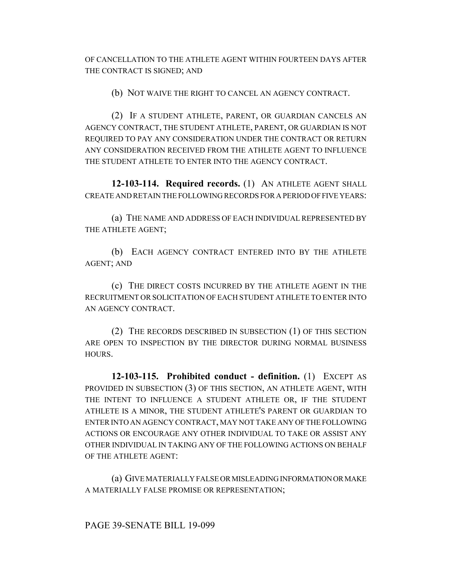OF CANCELLATION TO THE ATHLETE AGENT WITHIN FOURTEEN DAYS AFTER THE CONTRACT IS SIGNED; AND

(b) NOT WAIVE THE RIGHT TO CANCEL AN AGENCY CONTRACT.

(2) IF A STUDENT ATHLETE, PARENT, OR GUARDIAN CANCELS AN AGENCY CONTRACT, THE STUDENT ATHLETE, PARENT, OR GUARDIAN IS NOT REQUIRED TO PAY ANY CONSIDERATION UNDER THE CONTRACT OR RETURN ANY CONSIDERATION RECEIVED FROM THE ATHLETE AGENT TO INFLUENCE THE STUDENT ATHLETE TO ENTER INTO THE AGENCY CONTRACT.

**12-103-114. Required records.** (1) AN ATHLETE AGENT SHALL CREATE AND RETAIN THE FOLLOWING RECORDS FOR A PERIOD OF FIVE YEARS:

(a) THE NAME AND ADDRESS OF EACH INDIVIDUAL REPRESENTED BY THE ATHLETE AGENT;

(b) EACH AGENCY CONTRACT ENTERED INTO BY THE ATHLETE AGENT; AND

(c) THE DIRECT COSTS INCURRED BY THE ATHLETE AGENT IN THE RECRUITMENT OR SOLICITATION OF EACH STUDENT ATHLETE TO ENTER INTO AN AGENCY CONTRACT.

(2) THE RECORDS DESCRIBED IN SUBSECTION (1) OF THIS SECTION ARE OPEN TO INSPECTION BY THE DIRECTOR DURING NORMAL BUSINESS HOURS.

**12-103-115. Prohibited conduct - definition.** (1) EXCEPT AS PROVIDED IN SUBSECTION (3) OF THIS SECTION, AN ATHLETE AGENT, WITH THE INTENT TO INFLUENCE A STUDENT ATHLETE OR, IF THE STUDENT ATHLETE IS A MINOR, THE STUDENT ATHLETE'S PARENT OR GUARDIAN TO ENTER INTO AN AGENCY CONTRACT, MAY NOT TAKE ANY OF THE FOLLOWING ACTIONS OR ENCOURAGE ANY OTHER INDIVIDUAL TO TAKE OR ASSIST ANY OTHER INDIVIDUAL IN TAKING ANY OF THE FOLLOWING ACTIONS ON BEHALF OF THE ATHLETE AGENT:

(a) GIVE MATERIALLY FALSE OR MISLEADING INFORMATION OR MAKE A MATERIALLY FALSE PROMISE OR REPRESENTATION;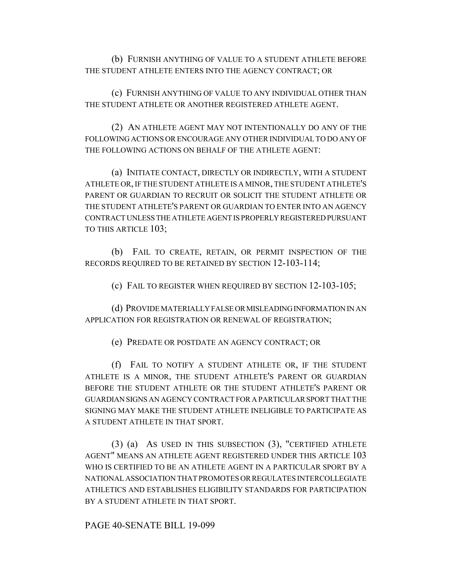(b) FURNISH ANYTHING OF VALUE TO A STUDENT ATHLETE BEFORE THE STUDENT ATHLETE ENTERS INTO THE AGENCY CONTRACT; OR

(c) FURNISH ANYTHING OF VALUE TO ANY INDIVIDUAL OTHER THAN THE STUDENT ATHLETE OR ANOTHER REGISTERED ATHLETE AGENT.

(2) AN ATHLETE AGENT MAY NOT INTENTIONALLY DO ANY OF THE FOLLOWING ACTIONS OR ENCOURAGE ANY OTHER INDIVIDUAL TO DO ANY OF THE FOLLOWING ACTIONS ON BEHALF OF THE ATHLETE AGENT:

(a) INITIATE CONTACT, DIRECTLY OR INDIRECTLY, WITH A STUDENT ATHLETE OR, IF THE STUDENT ATHLETE IS A MINOR, THE STUDENT ATHLETE'S PARENT OR GUARDIAN TO RECRUIT OR SOLICIT THE STUDENT ATHLETE OR THE STUDENT ATHLETE'S PARENT OR GUARDIAN TO ENTER INTO AN AGENCY CONTRACT UNLESS THE ATHLETE AGENT IS PROPERLY REGISTERED PURSUANT TO THIS ARTICLE 103;

(b) FAIL TO CREATE, RETAIN, OR PERMIT INSPECTION OF THE RECORDS REQUIRED TO BE RETAINED BY SECTION 12-103-114;

(c) FAIL TO REGISTER WHEN REQUIRED BY SECTION 12-103-105;

(d) PROVIDE MATERIALLY FALSE OR MISLEADING INFORMATION IN AN APPLICATION FOR REGISTRATION OR RENEWAL OF REGISTRATION;

(e) PREDATE OR POSTDATE AN AGENCY CONTRACT; OR

(f) FAIL TO NOTIFY A STUDENT ATHLETE OR, IF THE STUDENT ATHLETE IS A MINOR, THE STUDENT ATHLETE'S PARENT OR GUARDIAN BEFORE THE STUDENT ATHLETE OR THE STUDENT ATHLETE'S PARENT OR GUARDIAN SIGNS AN AGENCY CONTRACT FOR A PARTICULAR SPORT THAT THE SIGNING MAY MAKE THE STUDENT ATHLETE INELIGIBLE TO PARTICIPATE AS A STUDENT ATHLETE IN THAT SPORT.

(3) (a) AS USED IN THIS SUBSECTION (3), "CERTIFIED ATHLETE AGENT" MEANS AN ATHLETE AGENT REGISTERED UNDER THIS ARTICLE 103 WHO IS CERTIFIED TO BE AN ATHLETE AGENT IN A PARTICULAR SPORT BY A NATIONAL ASSOCIATION THAT PROMOTES OR REGULATES INTERCOLLEGIATE ATHLETICS AND ESTABLISHES ELIGIBILITY STANDARDS FOR PARTICIPATION BY A STUDENT ATHLETE IN THAT SPORT.

PAGE 40-SENATE BILL 19-099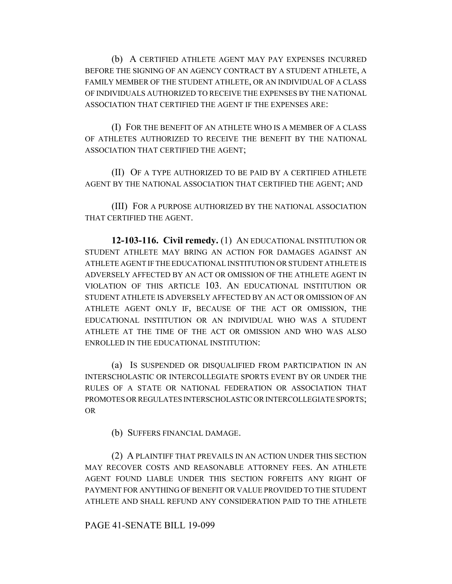(b) A CERTIFIED ATHLETE AGENT MAY PAY EXPENSES INCURRED BEFORE THE SIGNING OF AN AGENCY CONTRACT BY A STUDENT ATHLETE, A FAMILY MEMBER OF THE STUDENT ATHLETE, OR AN INDIVIDUAL OF A CLASS OF INDIVIDUALS AUTHORIZED TO RECEIVE THE EXPENSES BY THE NATIONAL ASSOCIATION THAT CERTIFIED THE AGENT IF THE EXPENSES ARE:

(I) FOR THE BENEFIT OF AN ATHLETE WHO IS A MEMBER OF A CLASS OF ATHLETES AUTHORIZED TO RECEIVE THE BENEFIT BY THE NATIONAL ASSOCIATION THAT CERTIFIED THE AGENT;

(II) OF A TYPE AUTHORIZED TO BE PAID BY A CERTIFIED ATHLETE AGENT BY THE NATIONAL ASSOCIATION THAT CERTIFIED THE AGENT; AND

(III) FOR A PURPOSE AUTHORIZED BY THE NATIONAL ASSOCIATION THAT CERTIFIED THE AGENT.

**12-103-116. Civil remedy.** (1) AN EDUCATIONAL INSTITUTION OR STUDENT ATHLETE MAY BRING AN ACTION FOR DAMAGES AGAINST AN ATHLETE AGENT IF THE EDUCATIONAL INSTITUTION OR STUDENT ATHLETE IS ADVERSELY AFFECTED BY AN ACT OR OMISSION OF THE ATHLETE AGENT IN VIOLATION OF THIS ARTICLE 103. AN EDUCATIONAL INSTITUTION OR STUDENT ATHLETE IS ADVERSELY AFFECTED BY AN ACT OR OMISSION OF AN ATHLETE AGENT ONLY IF, BECAUSE OF THE ACT OR OMISSION, THE EDUCATIONAL INSTITUTION OR AN INDIVIDUAL WHO WAS A STUDENT ATHLETE AT THE TIME OF THE ACT OR OMISSION AND WHO WAS ALSO ENROLLED IN THE EDUCATIONAL INSTITUTION:

(a) IS SUSPENDED OR DISQUALIFIED FROM PARTICIPATION IN AN INTERSCHOLASTIC OR INTERCOLLEGIATE SPORTS EVENT BY OR UNDER THE RULES OF A STATE OR NATIONAL FEDERATION OR ASSOCIATION THAT PROMOTES OR REGULATES INTERSCHOLASTIC OR INTERCOLLEGIATE SPORTS; OR

(b) SUFFERS FINANCIAL DAMAGE.

(2) A PLAINTIFF THAT PREVAILS IN AN ACTION UNDER THIS SECTION MAY RECOVER COSTS AND REASONABLE ATTORNEY FEES. AN ATHLETE AGENT FOUND LIABLE UNDER THIS SECTION FORFEITS ANY RIGHT OF PAYMENT FOR ANYTHING OF BENEFIT OR VALUE PROVIDED TO THE STUDENT ATHLETE AND SHALL REFUND ANY CONSIDERATION PAID TO THE ATHLETE

## PAGE 41-SENATE BILL 19-099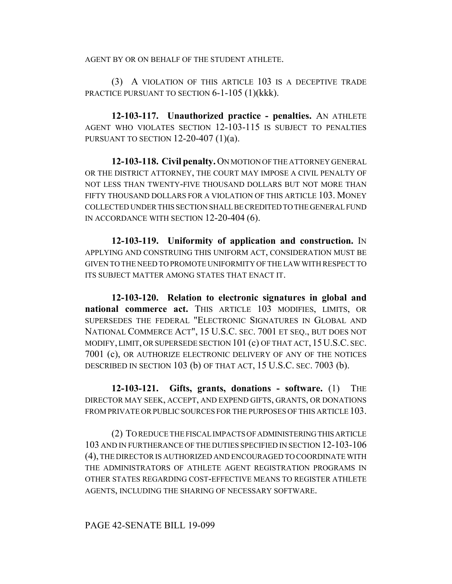AGENT BY OR ON BEHALF OF THE STUDENT ATHLETE.

(3) A VIOLATION OF THIS ARTICLE 103 IS A DECEPTIVE TRADE PRACTICE PURSUANT TO SECTION 6-1-105 (1)(kkk).

**12-103-117. Unauthorized practice - penalties.** AN ATHLETE AGENT WHO VIOLATES SECTION 12-103-115 IS SUBJECT TO PENALTIES PURSUANT TO SECTION  $12-20-407$  (1)(a).

**12-103-118. Civil penalty.** ON MOTION OF THE ATTORNEY GENERAL OR THE DISTRICT ATTORNEY, THE COURT MAY IMPOSE A CIVIL PENALTY OF NOT LESS THAN TWENTY-FIVE THOUSAND DOLLARS BUT NOT MORE THAN FIFTY THOUSAND DOLLARS FOR A VIOLATION OF THIS ARTICLE 103. MONEY COLLECTED UNDER THIS SECTION SHALL BE CREDITED TO THE GENERAL FUND IN ACCORDANCE WITH SECTION 12-20-404 (6).

**12-103-119. Uniformity of application and construction.** IN APPLYING AND CONSTRUING THIS UNIFORM ACT, CONSIDERATION MUST BE GIVEN TO THE NEED TO PROMOTE UNIFORMITY OF THE LAW WITH RESPECT TO ITS SUBJECT MATTER AMONG STATES THAT ENACT IT

**12-103-120. Relation to electronic signatures in global and** national commerce act. THIS ARTICLE 103 MODIFIES, LIMITS, OR SUPERSEDES THE FEDERAL "ELECTRONIC SIGNATURES IN GLOBAL AND NATIONAL COMMERCE ACT", 15 U.S.C. SEC. 7001 ET SEQ., BUT DOES NOT MODIFY, LIMIT, OR SUPERSEDE SECTION 101 (c) OF THAT ACT, 15U.S.C. SEC. 7001 (c), OR AUTHORIZE ELECTRONIC DELIVERY OF ANY OF THE NOTICES DESCRIBED IN SECTION 103 (b) OF THAT ACT, 15 U.S.C. SEC. 7003 (b).

**12-103-121. Gifts, grants, donations - software.** (1) THE DIRECTOR MAY SEEK, ACCEPT, AND EXPEND GIFTS, GRANTS, OR DONATIONS FROM PRIVATE OR PUBLIC SOURCES FOR THE PURPOSES OF THIS ARTICLE 103.

(2) TO REDUCE THE FISCAL IMPACTS OF ADMINISTERING THIS ARTICLE 103 AND IN FURTHERANCE OF THE DUTIES SPECIFIED IN SECTION 12-103-106 (4), THE DIRECTOR IS AUTHORIZED AND ENCOURAGED TO COORDINATE WITH THE ADMINISTRATORS OF ATHLETE AGENT REGISTRATION PROGRAMS IN OTHER STATES REGARDING COST-EFFECTIVE MEANS TO REGISTER ATHLETE AGENTS, INCLUDING THE SHARING OF NECESSARY SOFTWARE.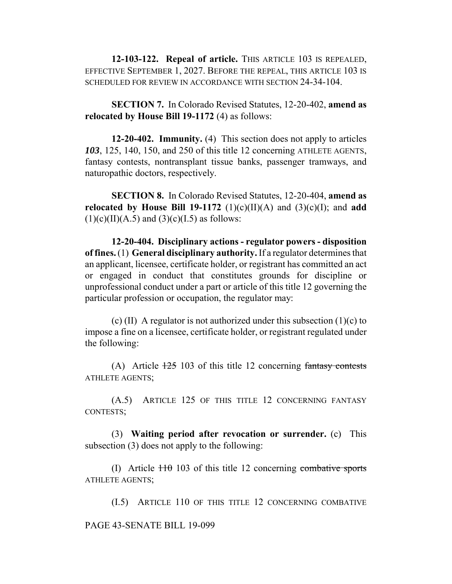**12-103-122. Repeal of article.** THIS ARTICLE 103 IS REPEALED, EFFECTIVE SEPTEMBER 1, 2027. BEFORE THE REPEAL, THIS ARTICLE 103 IS SCHEDULED FOR REVIEW IN ACCORDANCE WITH SECTION 24-34-104.

**SECTION 7.** In Colorado Revised Statutes, 12-20-402, **amend as relocated by House Bill 19-1172** (4) as follows:

**12-20-402. Immunity.** (4) This section does not apply to articles *103*, 125, 140, 150, and 250 of this title 12 concerning ATHLETE AGENTS, fantasy contests, nontransplant tissue banks, passenger tramways, and naturopathic doctors, respectively.

**SECTION 8.** In Colorado Revised Statutes, 12-20-404, **amend as relocated by House Bill 19-1172** (1)(c)(II)(A) and (3)(c)(I); and **add**  $(1)(c)(II)(A.5)$  and  $(3)(c)(I.5)$  as follows:

**12-20-404. Disciplinary actions - regulator powers - disposition of fines.** (1) **General disciplinary authority.** If a regulator determines that an applicant, licensee, certificate holder, or registrant has committed an act or engaged in conduct that constitutes grounds for discipline or unprofessional conduct under a part or article of this title 12 governing the particular profession or occupation, the regulator may:

(c) (II) A regulator is not authorized under this subsection  $(1)(c)$  to impose a fine on a licensee, certificate holder, or registrant regulated under the following:

(A) Article  $\frac{125}{103}$  of this title 12 concerning fantasy contests ATHLETE AGENTS;

(A.5) ARTICLE 125 OF THIS TITLE 12 CONCERNING FANTASY CONTESTS;

(3) **Waiting period after revocation or surrender.** (c) This subsection (3) does not apply to the following:

(I) Article  $110$  103 of this title 12 concerning combative sports ATHLETE AGENTS;

(I.5) ARTICLE 110 OF THIS TITLE 12 CONCERNING COMBATIVE

PAGE 43-SENATE BILL 19-099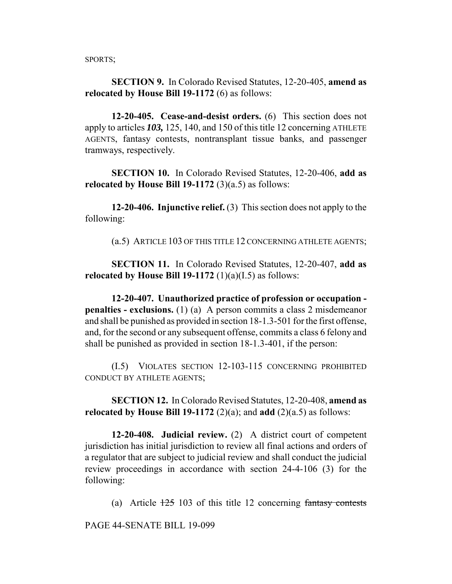SPORTS;

**SECTION 9.** In Colorado Revised Statutes, 12-20-405, **amend as relocated by House Bill 19-1172** (6) as follows:

**12-20-405. Cease-and-desist orders.** (6) This section does not apply to articles *103,* 125, 140, and 150 of this title 12 concerning ATHLETE AGENTS, fantasy contests, nontransplant tissue banks, and passenger tramways, respectively.

**SECTION 10.** In Colorado Revised Statutes, 12-20-406, **add as relocated by House Bill 19-1172**  $(3)(a.5)$  as follows:

**12-20-406. Injunctive relief.** (3) This section does not apply to the following:

(a.5) ARTICLE 103 OF THIS TITLE 12 CONCERNING ATHLETE AGENTS;

**SECTION 11.** In Colorado Revised Statutes, 12-20-407, **add as relocated by House Bill 19-1172**  $(1)(a)(I.5)$  as follows:

**12-20-407. Unauthorized practice of profession or occupation penalties - exclusions.** (1) (a) A person commits a class 2 misdemeanor and shall be punished as provided in section 18-1.3-501 for the first offense, and, for the second or any subsequent offense, commits a class 6 felony and shall be punished as provided in section 18-1.3-401, if the person:

(I.5) VIOLATES SECTION 12-103-115 CONCERNING PROHIBITED CONDUCT BY ATHLETE AGENTS;

**SECTION 12.** In Colorado Revised Statutes, 12-20-408, **amend as relocated by House Bill 19-1172** (2)(a); and **add** (2)(a.5) as follows:

**12-20-408. Judicial review.** (2) A district court of competent jurisdiction has initial jurisdiction to review all final actions and orders of a regulator that are subject to judicial review and shall conduct the judicial review proceedings in accordance with section 24-4-106 (3) for the following:

(a) Article  $\frac{125}{103}$  of this title 12 concerning fantasy contests

PAGE 44-SENATE BILL 19-099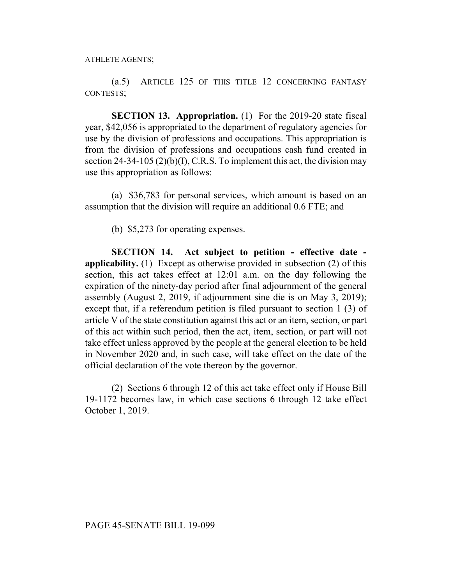(a.5) ARTICLE 125 OF THIS TITLE 12 CONCERNING FANTASY CONTESTS;

**SECTION 13. Appropriation.** (1) For the 2019-20 state fiscal year, \$42,056 is appropriated to the department of regulatory agencies for use by the division of professions and occupations. This appropriation is from the division of professions and occupations cash fund created in section 24-34-105 (2)(b)(I), C.R.S. To implement this act, the division may use this appropriation as follows:

(a) \$36,783 for personal services, which amount is based on an assumption that the division will require an additional 0.6 FTE; and

(b) \$5,273 for operating expenses.

**SECTION 14. Act subject to petition - effective date applicability.** (1) Except as otherwise provided in subsection (2) of this section, this act takes effect at 12:01 a.m. on the day following the expiration of the ninety-day period after final adjournment of the general assembly (August 2, 2019, if adjournment sine die is on May 3, 2019); except that, if a referendum petition is filed pursuant to section 1 (3) of article V of the state constitution against this act or an item, section, or part of this act within such period, then the act, item, section, or part will not take effect unless approved by the people at the general election to be held in November 2020 and, in such case, will take effect on the date of the official declaration of the vote thereon by the governor.

(2) Sections 6 through 12 of this act take effect only if House Bill 19-1172 becomes law, in which case sections 6 through 12 take effect October 1, 2019.